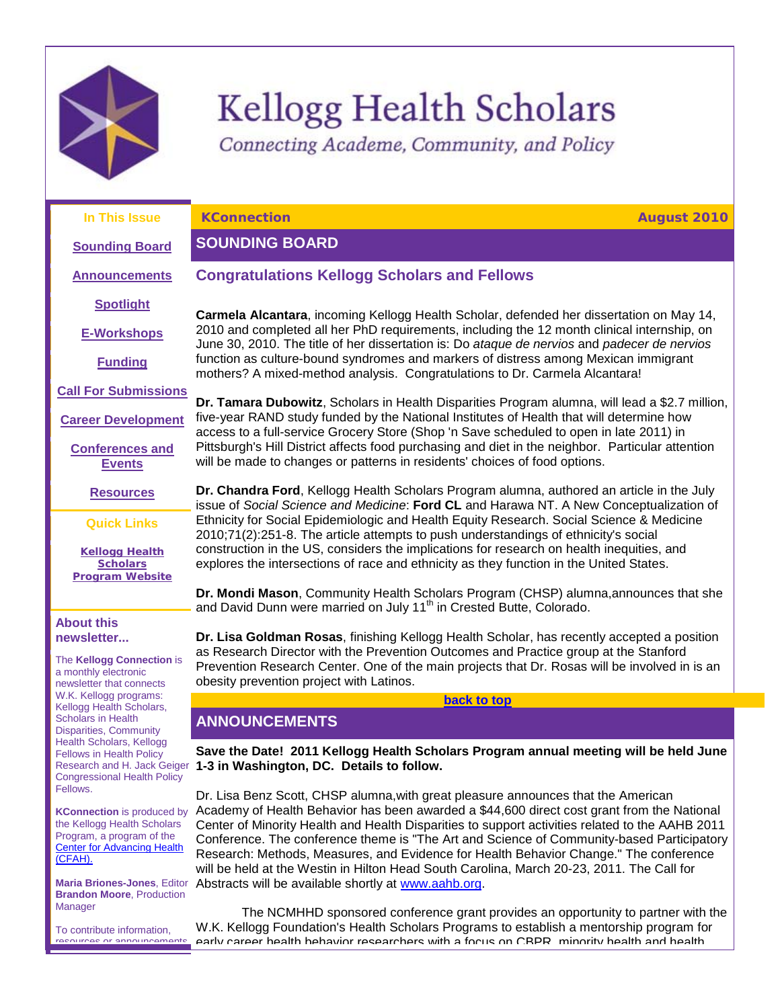

# **Kellogg Health Scholars**

Connecting Academe, Community, and Policy

**Congratulations Kellogg Scholars and Fellows**

**In This Issue**

<span id="page-0-2"></span>**KConnection August 2010**

# <span id="page-0-0"></span>**SOUNDING BOARD**

**[Announcements](#page-0-1)**

**[Sounding Board](#page-0-0)**

**[Spotlight](#page-1-0)**

**[E-Workshops](#page-2-0)**

**[Funding](#page-2-1)**

**[Call For Submissions](#page-4-0)**

**[Career Development](#page-11-0)**

**[Conferences and](#page-17-0)  [Events](#page-17-0)**

**[Resources](#page-18-0)**

**Quick Links**

**Kellogg Health [Scholars](http://r20.rs6.net/tn.jsp?et=1103599633351&s=1&e=001DnY4abxwoKKjIydFs_4VIrqIUSDfhMuPbJnwXl6I26aFmHK27cIxnNNC3c62SuKc_wmnAEz3sz04L7o7sZr66BexiW7RkAUk8I9piXWCD4BJpfVYfHnS5H0xWXkyYFMR)  [Program](http://r20.rs6.net/tn.jsp?et=1103599633351&s=1&e=001DnY4abxwoKKjIydFs_4VIrqIUSDfhMuPbJnwXl6I26aFmHK27cIxnNNC3c62SuKc_wmnAEz3sz04L7o7sZr66BexiW7RkAUk8I9piXWCD4BJpfVYfHnS5H0xWXkyYFMR) Website**

#### **About this newsletter...**

The **Kellogg Connection** is a monthly electronic newsletter that connects W.K. Kellogg programs: Kellogg Health Scholars, Scholars in Health Disparities, Community Health Scholars, Kellogg Fellows in Health Policy Research and H. Jack Geiger Congressional Health Policy Fellows.

**KConnection** is produced by the Kellogg Health Scholars Program, a program of the **Center for Advancing Health** [\(CFAH\).](http://r20.rs6.net/tn.jsp?et=1103599633351&s=1&e=001DnY4abxwoKK_6CVc9cK0F8yoQxcIuFp8MTSIAeeHnFCuHD8mn105keYzXHc1bnby9ThdSDSHw5fzs5K7mrvYmee6_nOka42TNTpcqhvvxyI=)

**Maria Briones-Jones**, Editor **Brandon Moore**, Production Manager

To contribute information, resources or announcements **Carmela Alcantara**, incoming Kellogg Health Scholar, defended her dissertation on May 14, 2010 and completed all her PhD requirements, including the 12 month clinical internship, on June 30, 2010. The title of her dissertation is: Do *ataque de nervios* and *padecer de nervios* function as culture-bound syndromes and markers of distress among Mexican immigrant mothers? A mixed-method analysis. Congratulations to Dr. Carmela Alcantara!

**Dr. Tamara Dubowitz**, Scholars in Health Disparities Program alumna, will lead a \$2.7 million, five-year RAND study funded by the National Institutes of Health that will determine how access to a full-service Grocery Store (Shop 'n Save scheduled to open in late 2011) in Pittsburgh's Hill District affects food purchasing and diet in the neighbor. Particular attention will be made to changes or patterns in residents' choices of food options.

**Dr. Chandra Ford**, Kellogg Health Scholars Program alumna, authored an article in the July issue of *Social Science and Medicine*: **Ford CL** and Harawa NT. A New Conceptualization of Ethnicity for Social Epidemiologic and Health Equity Research. Social Science & Medicine 2010;71(2):251-8. The article attempts to push understandings of ethnicity's social construction in the US, considers the implications for research on health inequities, and explores the intersections of race and ethnicity as they function in the United States.

**Dr. Mondi Mason**, Community Health Scholars Program (CHSP) alumna,announces that she and David Dunn were married on July 11<sup>th</sup> in Crested Butte, Colorado.

**Dr. Lisa Goldman Rosas**, finishing Kellogg Health Scholar, has recently accepted a position as Research Director with the Prevention Outcomes and Practice group at the Stanford Prevention Research Center. One of the main projects that Dr. Rosas will be involved in is an obesity prevention project with Latinos.

## **[back to top](#page-0-2)**

# <span id="page-0-1"></span>**ANNOUNCEMENTS**

**Save the Date! 2011 Kellogg Health Scholars Program annual meeting will be held June 1-3 in Washington, DC. Details to follow.**

Dr. Lisa Benz Scott, CHSP alumna,with great pleasure announces that the American Academy of Health Behavior has been awarded a \$44,600 direct cost grant from the National Center of Minority Health and Health Disparities to support activities related to the AAHB 2011 Conference. The conference theme is "The Art and Science of Community-based Participatory Research: Methods, Measures, and Evidence for Health Behavior Change." The conference will be held at the Westin in Hilton Head South Carolina, March 20-23, 2011. The Call for Abstracts will be available shortly at [www.aahb.org.](http://r20.rs6.net/tn.jsp?et=1103599633351&s=1&e=001DnY4abxwoKI6VZXt4gt4zLvmYZ7nq44NW63jjDMGmIRLJ1p9fe7zNCIIogi2mQPR3KIC21ruIpPJKuGkTigKSQKxkRWIVPVqSMVaNRLVY_A=)

The NCMHHD sponsored conference grant provides an opportunity to partner with the W.K. Kellogg Foundation's Health Scholars Programs to establish a mentorship program for early career health behavior researchers with a focus on CBPR, minority health and health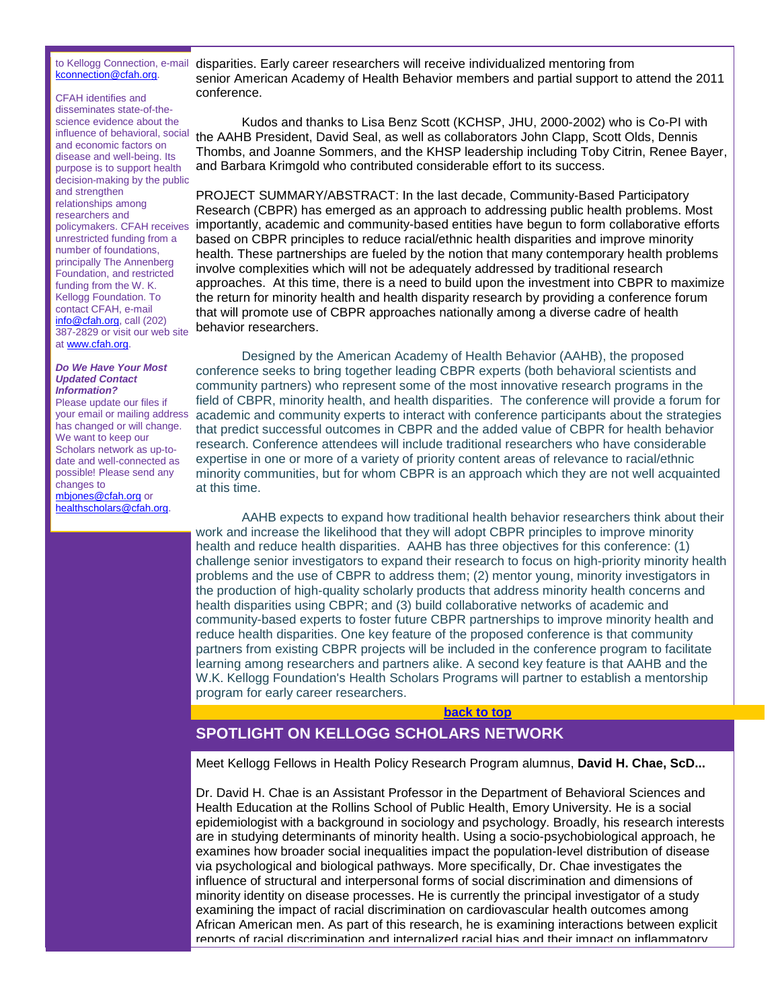#### to Kellogg Connection, e-mail [kconnection@cfah.org.](mailto:kconnection@cfah.org)

CFAH identifies and disseminates state-of-thescience evidence about the influence of behavioral, social and economic factors on disease and well-being. Its purpose is to support health decision-making by the public and strengthen relationships among researchers and policymakers. CFAH receives unrestricted funding from a number of foundations, principally The Annenberg Foundation, and restricted funding from the W. K. Kellogg Foundation. To contact CFAH, e-mail [info@cfah.org,](mailto:info@cfah.org) call (202) 387-2829 or visit our web site at [www.cfah.org.](http://r20.rs6.net/tn.jsp?et=1103599633351&s=1&e=001DnY4abxwoKK_6CVc9cK0F8yoQxcIuFp8MTSIAeeHnFCuHD8mn105keYzXHc1bnby9ThdSDSHw5fzs5K7mrvYmee6_nOka42TNTpcqhvvxyI=)

#### *Do We Have Your Most Updated Contact Information?*

Please update our files if your email or mailing address has changed or will change. We want to keep our Scholars network as up-todate and well-connected as possible! Please send any changes to [mbjones@cfah.org](mailto:mbjones@cfah.org) or

[healthscholars@cfah.org.](mailto:healthscholars@cfah.org)

disparities. Early career researchers will receive individualized mentoring from senior American Academy of Health Behavior members and partial support to attend the 2011 conference.

Kudos and thanks to Lisa Benz Scott (KCHSP, JHU, 2000-2002) who is Co-PI with the AAHB President, David Seal, as well as collaborators John Clapp, Scott Olds, Dennis Thombs, and Joanne Sommers, and the KHSP leadership including Toby Citrin, Renee Bayer, and Barbara Krimgold who contributed considerable effort to its success.

PROJECT SUMMARY/ABSTRACT: In the last decade, Community-Based Participatory Research (CBPR) has emerged as an approach to addressing public health problems. Most importantly, academic and community-based entities have begun to form collaborative efforts based on CBPR principles to reduce racial/ethnic health disparities and improve minority health. These partnerships are fueled by the notion that many contemporary health problems involve complexities which will not be adequately addressed by traditional research approaches. At this time, there is a need to build upon the investment into CBPR to maximize the return for minority health and health disparity research by providing a conference forum that will promote use of CBPR approaches nationally among a diverse cadre of health behavior researchers.

Designed by the American Academy of Health Behavior (AAHB), the proposed conference seeks to bring together leading CBPR experts (both behavioral scientists and community partners) who represent some of the most innovative research programs in the field of CBPR, minority health, and health disparities. The conference will provide a forum for academic and community experts to interact with conference participants about the strategies that predict successful outcomes in CBPR and the added value of CBPR for health behavior research. Conference attendees will include traditional researchers who have considerable expertise in one or more of a variety of priority content areas of relevance to racial/ethnic minority communities, but for whom CBPR is an approach which they are not well acquainted at this time.

AAHB expects to expand how traditional health behavior researchers think about their work and increase the likelihood that they will adopt CBPR principles to improve minority health and reduce health disparities. AAHB has three objectives for this conference: (1) challenge senior investigators to expand their research to focus on high-priority minority health problems and the use of CBPR to address them; (2) mentor young, minority investigators in the production of high-quality scholarly products that address minority health concerns and health disparities using CBPR; and (3) build collaborative networks of academic and community-based experts to foster future CBPR partnerships to improve minority health and reduce health disparities. One key feature of the proposed conference is that community partners from existing CBPR projects will be included in the conference program to facilitate learning among researchers and partners alike. A second key feature is that AAHB and the W.K. Kellogg Foundation's Health Scholars Programs will partner to establish a mentorship program for early career researchers.

#### **[back to top](#page-0-2)**

# <span id="page-1-0"></span>**SPOTLIGHT ON KELLOGG SCHOLARS NETWORK**

Meet Kellogg Fellows in Health Policy Research Program alumnus, **David H. Chae, ScD...**

Dr. David H. Chae is an Assistant Professor in the Department of Behavioral Sciences and Health Education at the Rollins School of Public Health, Emory University. He is a social epidemiologist with a background in sociology and psychology. Broadly, his research interests are in studying determinants of minority health. Using a socio-psychobiological approach, he examines how broader social inequalities impact the population-level distribution of disease via psychological and biological pathways. More specifically, Dr. Chae investigates the influence of structural and interpersonal forms of social discrimination and dimensions of minority identity on disease processes. He is currently the principal investigator of a study examining the impact of racial discrimination on cardiovascular health outcomes among African American men. As part of this research, he is examining interactions between explicit reports of racial discrimination and internalized racial bias and their impact on inflammatory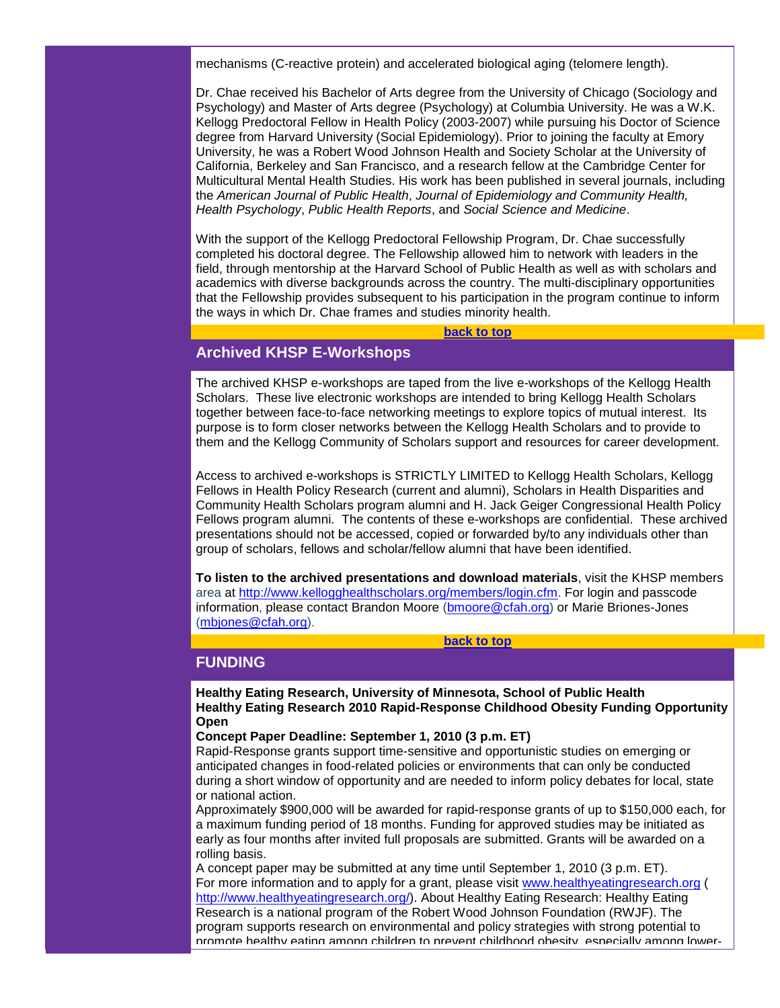mechanisms (C-reactive protein) and accelerated biological aging (telomere length).

Dr. Chae received his Bachelor of Arts degree from the University of Chicago (Sociology and Psychology) and Master of Arts degree (Psychology) at Columbia University. He was a W.K. Kellogg Predoctoral Fellow in Health Policy (2003-2007) while pursuing his Doctor of Science degree from Harvard University (Social Epidemiology). Prior to joining the faculty at Emory University, he was a Robert Wood Johnson Health and Society Scholar at the University of California, Berkeley and San Francisco, and a research fellow at the Cambridge Center for Multicultural Mental Health Studies. His work has been published in several journals, including the *American Journal of Public Health*, *Journal of Epidemiology and Community Health, Health Psychology*, *Public Health Reports*, and *Social Science and Medicine*.

With the support of the Kellogg Predoctoral Fellowship Program, Dr. Chae successfully completed his doctoral degree. The Fellowship allowed him to network with leaders in the field, through mentorship at the Harvard School of Public Health as well as with scholars and academics with diverse backgrounds across the country. The multi-disciplinary opportunities that the Fellowship provides subsequent to his participation in the program continue to inform the ways in which Dr. Chae frames and studies minority health.

**[back to top](#page-0-2)**

## <span id="page-2-0"></span>**Archived KHSP E-Workshops**

The archived KHSP e-workshops are taped from the live e-workshops of the Kellogg Health Scholars. These live electronic workshops are intended to bring Kellogg Health Scholars together between face-to-face networking meetings to explore topics of mutual interest. Its purpose is to form closer networks between the Kellogg Health Scholars and to provide to them and the Kellogg Community of Scholars support and resources for career development.

Access to archived e-workshops is STRICTLY LIMITED to Kellogg Health Scholars, Kellogg Fellows in Health Policy Research (current and alumni), Scholars in Health Disparities and Community Health Scholars program alumni and H. Jack Geiger Congressional Health Policy Fellows program alumni. The contents of these e-workshops are confidential. These archived presentations should not be accessed, copied or forwarded by/to any individuals other than group of scholars, fellows and scholar/fellow alumni that have been identified.

**To listen to the archived presentations and download materials**, visit the KHSP members area at [http://www.kellogghealthscholars.org/members/login.cfm.](http://r20.rs6.net/tn.jsp?et=1103599633351&s=1&e=001DnY4abxwoKLWrsdPJQxdIapQSks3RMDjOzwH942YdBVu3yYgaBzqm_TDckZWJlw7w9wXDAS1JEzlOenBcW1QVp3zqfdL-vqusNlA8S6PZJ-433ryseFAtaqxVno-CnEe0Yt5D13L9gRyf4-4c1PKig==) For login and passcode information, please contact Brandon Moore [\(bmoore@cfah.org\)](mailto:bmoore@cfah.org) or Marie Briones-Jones [\(mbjones@cfah.org\)](mailto:mbjones@cfah.org).

**[back to top](#page-0-2)**

## <span id="page-2-1"></span>**FUNDING**

**Healthy Eating Research, University of Minnesota, School of Public Health Healthy Eating Research 2010 Rapid-Response Childhood Obesity Funding Opportunity Open**

#### **Concept Paper Deadline: September 1, 2010 (3 p.m. ET)**

Rapid-Response grants support time-sensitive and opportunistic studies on emerging or anticipated changes in food-related policies or environments that can only be conducted during a short window of opportunity and are needed to inform policy debates for local, state or national action.

Approximately \$900,000 will be awarded for rapid-response grants of up to \$150,000 each, for a maximum funding period of 18 months. Funding for approved studies may be initiated as early as four months after invited full proposals are submitted. Grants will be awarded on a rolling basis.

A concept paper may be submitted at any time until September 1, 2010 (3 p.m. ET). For more information and to apply for a grant, please visit [www.healthyeatingresearch.org](http://r20.rs6.net/tn.jsp?et=1103599633351&s=1&e=001DnY4abxwoKIaf_LR7Jq5fzb8Lf2LfBs3jx0nGppgY3684Nh7gV14pt2yhRiBHNAGleVoozXZpTlu17A0G06pyAgEY8-Jof8qiiLfd4FZYio19okd5g-QZKa5kpZHkZDI) ( [http://www.healthyeatingresearch.org/\)](http://r20.rs6.net/tn.jsp?et=1103599633351&s=1&e=001DnY4abxwoKIaf_LR7Jq5fzb8Lf2LfBs3jx0nGppgY3684Nh7gV14pt2yhRiBHNAGleVoozXZpTlu17A0G06pyAgEY8-Jof8qiiLfd4FZYio19okd5g-QZKa5kpZHkZDI). About Healthy Eating Research: Healthy Eating Research is a national program of the Robert Wood Johnson Foundation (RWJF). The program supports research on environmental and policy strategies with strong potential to promote healthy eating among children to prevent childhood obesity, especially among lower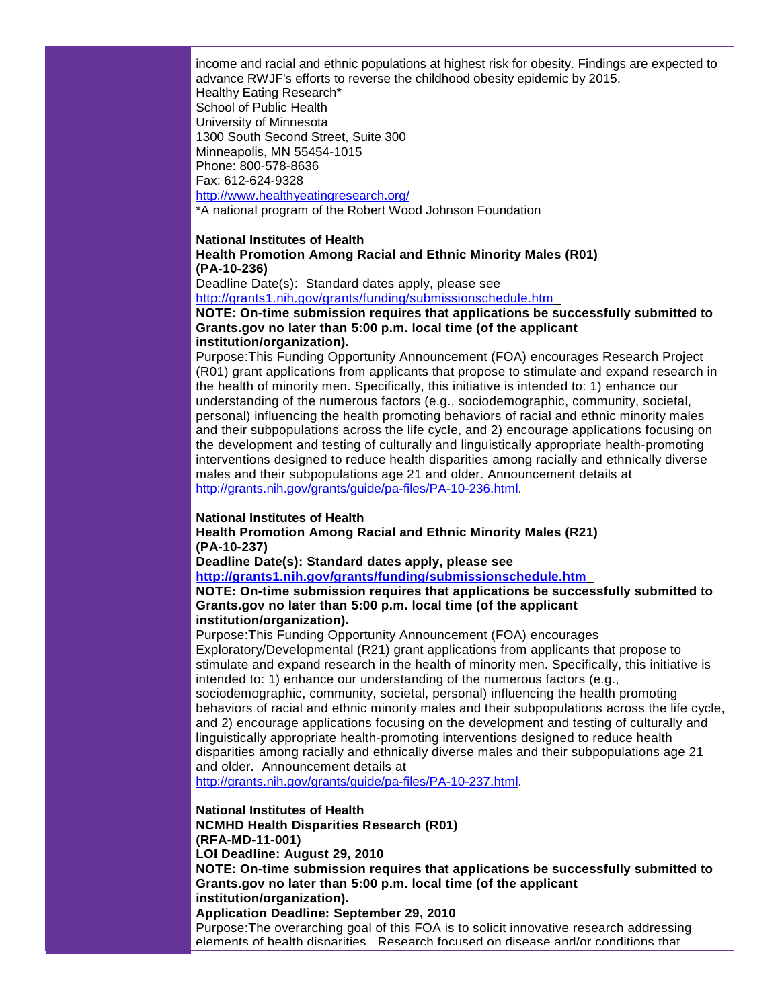income and racial and ethnic populations at highest risk for obesity. Findings are expected to advance RWJF's efforts to reverse the childhood obesity epidemic by 2015. Healthy Eating Research\* School of Public Health University of Minnesota 1300 South Second Street, Suite 300 Minneapolis, MN 55454-1015 Phone: 800-578-8636 Fax: 612-624-9328 [http://www.healthyeatingresearch.org/](http://r20.rs6.net/tn.jsp?et=1103599633351&s=1&e=001DnY4abxwoKIaf_LR7Jq5fzb8Lf2LfBs3jx0nGppgY3684Nh7gV14pt2yhRiBHNAGleVoozXZpTlu17A0G06pyAgEY8-Jof8qiiLfd4FZYio19okd5g-QZKa5kpZHkZDI) \*A national program of the Robert Wood Johnson Foundation

#### **National Institutes of Health**

#### **Health Promotion Among Racial and Ethnic Minority Males (R01) (PA-10-236)**

Deadline Date(s): Standard dates apply, please see [http://grants1.nih.gov/grants/funding/submissionschedule.htm](http://r20.rs6.net/tn.jsp?et=1103599633351&s=1&e=001DnY4abxwoKL34-wQFISeLzjqRw-f6OLy6k-k1t01vEX6MZJsvl59Vy4kkXB1Ppxqbm8eMWRmvT9KhyxeRjOCZihA_U5ZBl02-pYZa88hBoDplptXwXYIQlkbciPMIX2ZqbfACbpizPS7MoepPxkGDjSIJx6GS32r) 

#### **NOTE: On-time submission requires that applications be successfully submitted to Grants.gov no later than 5:00 p.m. local time (of the applicant institution/organization).**

Purpose:This Funding Opportunity Announcement (FOA) encourages Research Project (R01) grant applications from applicants that propose to stimulate and expand research in the health of minority men. Specifically, this initiative is intended to: 1) enhance our understanding of the numerous factors (e.g., sociodemographic, community, societal, personal) influencing the health promoting behaviors of racial and ethnic minority males and their subpopulations across the life cycle, and 2) encourage applications focusing on the development and testing of culturally and linguistically appropriate health-promoting interventions designed to reduce health disparities among racially and ethnically diverse males and their subpopulations age 21 and older. Announcement details at [http://grants.nih.gov/grants/guide/pa-files/PA-10-236.html.](http://r20.rs6.net/tn.jsp?et=1103599633351&s=1&e=001DnY4abxwoKIWpqoV0i92tNlVD262qRqe1zzO3iusrVIapyRuM251v0ussfxZ1LRoYB2fsArCFZIdNJ_FcamBDGUK44820b3Mevsh1p08eKtUVoBlcJDnkJNHAkdBOClwo97gbCDdpgOc-F-cfIwzHkvh02cyfxOK)

#### **National Institutes of Health**

**Health Promotion Among Racial and Ethnic Minority Males (R21) (PA-10-237)**

**Deadline Date(s): Standard dates apply, please see**

**[http://grants1.nih.gov/grants/funding/submissionschedule.htm](http://r20.rs6.net/tn.jsp?et=1103599633351&s=1&e=001DnY4abxwoKL34-wQFISeLzjqRw-f6OLy6k-k1t01vEX6MZJsvl59Vy4kkXB1Ppxqbm8eMWRmvT9KhyxeRjOCZihA_U5ZBl02-pYZa88hBoDplptXwXYIQlkbciPMIX2ZqbfACbpizPS7MoepPxkGDjSIJx6GS32r)** 

**NOTE: On-time submission requires that applications be successfully submitted to Grants.gov no later than 5:00 p.m. local time (of the applicant institution/organization).**

Purpose:This Funding Opportunity Announcement (FOA) encourages Exploratory/Developmental (R21) grant applications from applicants that propose to stimulate and expand research in the health of minority men. Specifically, this initiative is

intended to: 1) enhance our understanding of the numerous factors (e.g., sociodemographic, community, societal, personal) influencing the health promoting behaviors of racial and ethnic minority males and their subpopulations across the life cycle, and 2) encourage applications focusing on the development and testing of culturally and linguistically appropriate health-promoting interventions designed to reduce health disparities among racially and ethnically diverse males and their subpopulations age 21 and older. Announcement details at

[http://grants.nih.gov/grants/guide/pa-files/PA-10-237.html.](http://r20.rs6.net/tn.jsp?et=1103599633351&s=1&e=001DnY4abxwoKItjSOpC8OeeAfbHbR5tfcOuvbMe0BM9-VfVKfqPylw5SVJdAD0E6eskHUQYjzyP72SD94qa1w4N589ZOid3j6XpdyBMCvWksr1JKQNOnsMgQw7bRb7Byt3ayXlhdtk-jauZC6SIG9Ymzf8C1gk78iZ)

#### **National Institutes of Health**

**NCMHD Health Disparities Research (R01) (RFA-MD-11-001)**

**LOI Deadline: August 29, 2010** 

**NOTE: On-time submission requires that applications be successfully submitted to Grants.gov no later than 5:00 p.m. local time (of the applicant institution/organization).**

#### **Application Deadline: September 29, 2010**

Purpose:The overarching goal of this FOA is to solicit innovative research addressing elements of health disparities. Research focused on disease and/or conditions that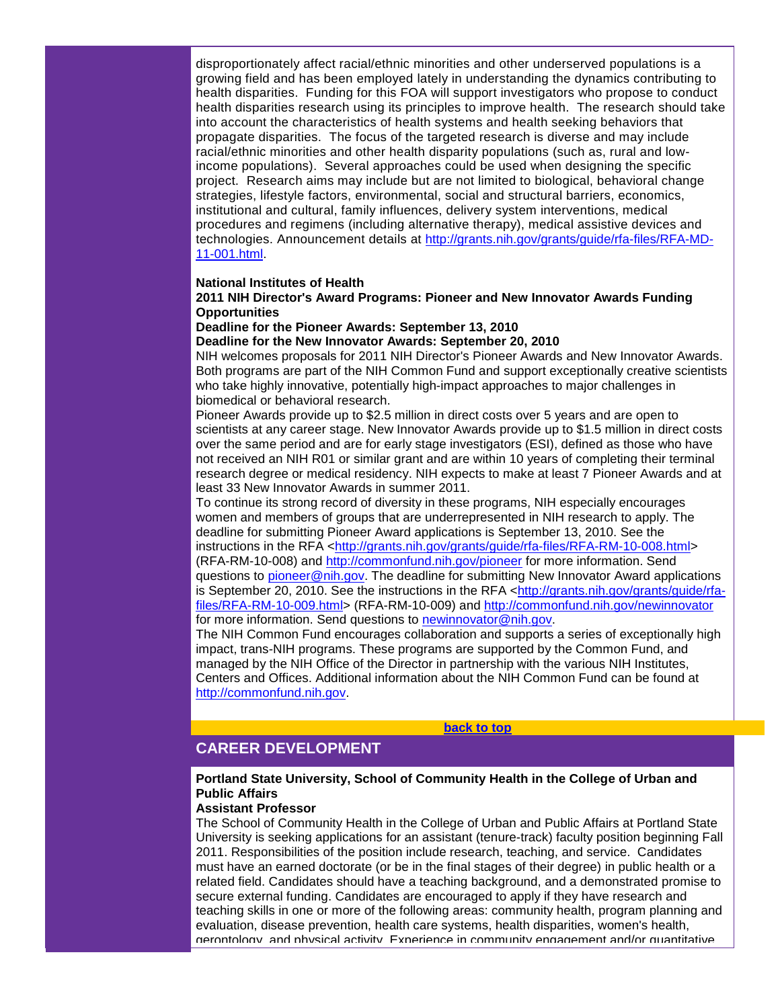disproportionately affect racial/ethnic minorities and other underserved populations is a growing field and has been employed lately in understanding the dynamics contributing to health disparities. Funding for this FOA will support investigators who propose to conduct health disparities research using its principles to improve health. The research should take into account the characteristics of health systems and health seeking behaviors that propagate disparities. The focus of the targeted research is diverse and may include racial/ethnic minorities and other health disparity populations (such as, rural and lowincome populations). Several approaches could be used when designing the specific project. Research aims may include but are not limited to biological, behavioral change strategies, lifestyle factors, environmental, social and structural barriers, economics, institutional and cultural, family influences, delivery system interventions, medical procedures and regimens (including alternative therapy), medical assistive devices and technologies. Announcement details at [http://grants.nih.gov/grants/guide/rfa-files/RFA-MD-](http://r20.rs6.net/tn.jsp?et=1103599633351&s=1&e=001DnY4abxwoKK72JNLdkw4TVqst3UGjzjMMPegJJ4I5tOOL6DZ56qKp_9OZLiZnva9dAcOjFwJ6po1fn5UKl58_S2Jwhed5gN9r7KwqZeX5FlwzJqWI4EV9yKSRtYRBpvGXs4Khh8dP4CHVeiQNgQ5zUpDVThlIlqwvIbM8FvZWyM=)[11-001.html.](http://r20.rs6.net/tn.jsp?et=1103599633351&s=1&e=001DnY4abxwoKK72JNLdkw4TVqst3UGjzjMMPegJJ4I5tOOL6DZ56qKp_9OZLiZnva9dAcOjFwJ6po1fn5UKl58_S2Jwhed5gN9r7KwqZeX5FlwzJqWI4EV9yKSRtYRBpvGXs4Khh8dP4CHVeiQNgQ5zUpDVThlIlqwvIbM8FvZWyM=)

#### **National Institutes of Health**

#### **2011 NIH Director's Award Programs: Pioneer and New Innovator Awards Funding Opportunities**

#### **Deadline for the Pioneer Awards: September 13, 2010**

#### **Deadline for the New Innovator Awards: September 20, 2010**

NIH welcomes proposals for 2011 NIH Director's Pioneer Awards and New Innovator Awards. Both programs are part of the NIH Common Fund and support exceptionally creative scientists who take highly innovative, potentially high-impact approaches to major challenges in biomedical or behavioral research.

Pioneer Awards provide up to \$2.5 million in direct costs over 5 years and are open to scientists at any career stage. New Innovator Awards provide up to \$1.5 million in direct costs over the same period and are for early stage investigators (ESI), defined as those who have not received an NIH R01 or similar grant and are within 10 years of completing their terminal research degree or medical residency. NIH expects to make at least 7 Pioneer Awards and at least 33 New Innovator Awards in summer 2011.

To continue its strong record of diversity in these programs, NIH especially encourages women and members of groups that are underrepresented in NIH research to apply. The deadline for submitting Pioneer Award applications is September 13, 2010. See the instructions in the RFA [<http://grants.nih.gov/grants/guide/rfa-files/RFA-RM-10-008.html>](http://r20.rs6.net/tn.jsp?et=1103599633351&s=1&e=001DnY4abxwoKKGekQP1zIlt9eFfuCDi8-KGTKI0ivmQMFNVSPcHEmT7YrdLAQDr10vWicu1VB-xl3BX0Euh3XU92TS13aLickgSx9aw1mtTrbOFZR3xsBIcSRBzzFiSgzc7uJdnMVVfNNAdcf8Ip2aU0W3f6O3hrGIlYwToYiTzv0=) (RFA-RM-10-008) and [http://commonfund.nih.gov/pioneer](http://r20.rs6.net/tn.jsp?et=1103599633351&s=1&e=001DnY4abxwoKJwoa18yMh5o47JGxXUWnP-3jm3JBxLBT5Q4Zv-Qd71ZptZBuJjHfmae8dLTQt07dDVJlhlTcZTWaiMo3DIRdYHnhiDw-dVAf1BpkggjlLYR5DrKwfF4nYb) for more information. Send questions to [pioneer@nih.gov.](mailto:pioneer@nih.gov) The deadline for submitting New Innovator Award applications is September 20, 2010. See the instructions in the RFA [<http://grants.nih.gov/grants/guide/rfa](http://r20.rs6.net/tn.jsp?et=1103599633351&s=1&e=001DnY4abxwoKLbvvKPRxaXk7TCt-GCE9jXA7h2ykj3CFLLl8CMMzJqyYKwVnRnRbnrA7bCFmiNcG_J5iqWJnWFKgy4O2PpfFoL1QzRHDr-Bt73uA_pBkuFpxciagtD5zZyGYKxDtNfPhUMAMYRwL-7ju_w9uJ-aOS-D5UPW7tnkY4=)[files/RFA-RM-10-009.html>](http://r20.rs6.net/tn.jsp?et=1103599633351&s=1&e=001DnY4abxwoKLbvvKPRxaXk7TCt-GCE9jXA7h2ykj3CFLLl8CMMzJqyYKwVnRnRbnrA7bCFmiNcG_J5iqWJnWFKgy4O2PpfFoL1QzRHDr-Bt73uA_pBkuFpxciagtD5zZyGYKxDtNfPhUMAMYRwL-7ju_w9uJ-aOS-D5UPW7tnkY4=) (RFA-RM-10-009) and [http://commonfund.nih.gov/newinnovator](http://r20.rs6.net/tn.jsp?et=1103599633351&s=1&e=001DnY4abxwoKKh_Lwu_Bqe3K-mmqJQ0U22hpaJKvaYYS4eQJ0mMbqwQFbgLv8LhTGPYJSn1gW-IXNb-_-FgxyiSJWw84bbkAN7u-pvlrRB8BsOoYHKy_QAlX3cOlKBp5GZ) for more information. Send questions to [newinnovator@nih.gov.](mailto:newinnovator@nih.gov)

The NIH Common Fund encourages collaboration and supports a series of exceptionally high impact, trans-NIH programs. These programs are supported by the Common Fund, and managed by the NIH Office of the Director in partnership with the various NIH Institutes, Centers and Offices. Additional information about the NIH Common Fund can be found at [http://commonfund.nih.gov.](http://r20.rs6.net/tn.jsp?et=1103599633351&s=1&e=001DnY4abxwoKK0r-c4vyjF76U96YGeDxp5h3-J_HDhH9K6czS-RZN8_go8iTVTliYYJeqxWfCSvT0U0N26ChWRQh_Q5wk39UBC5jMsyJ6jtE1fVW7r7VNNjQ==)

**[back to top](#page-0-2)**

# <span id="page-4-0"></span>**CAREER DEVELOPMENT**

#### **Portland State University, School of Community Health in the College of Urban and Public Affairs**

#### **Assistant Professor**

The School of Community Health in the College of Urban and Public Affairs at Portland State University is seeking applications for an assistant (tenure-track) faculty position beginning Fall 2011. Responsibilities of the position include research, teaching, and service. Candidates must have an earned doctorate (or be in the final stages of their degree) in public health or a related field. Candidates should have a teaching background, and a demonstrated promise to secure external funding. Candidates are encouraged to apply if they have research and teaching skills in one or more of the following areas: community health, program planning and evaluation, disease prevention, health care systems, health disparities, women's health, gerontology, and physical activity. Experience in community engagement and/or quantitative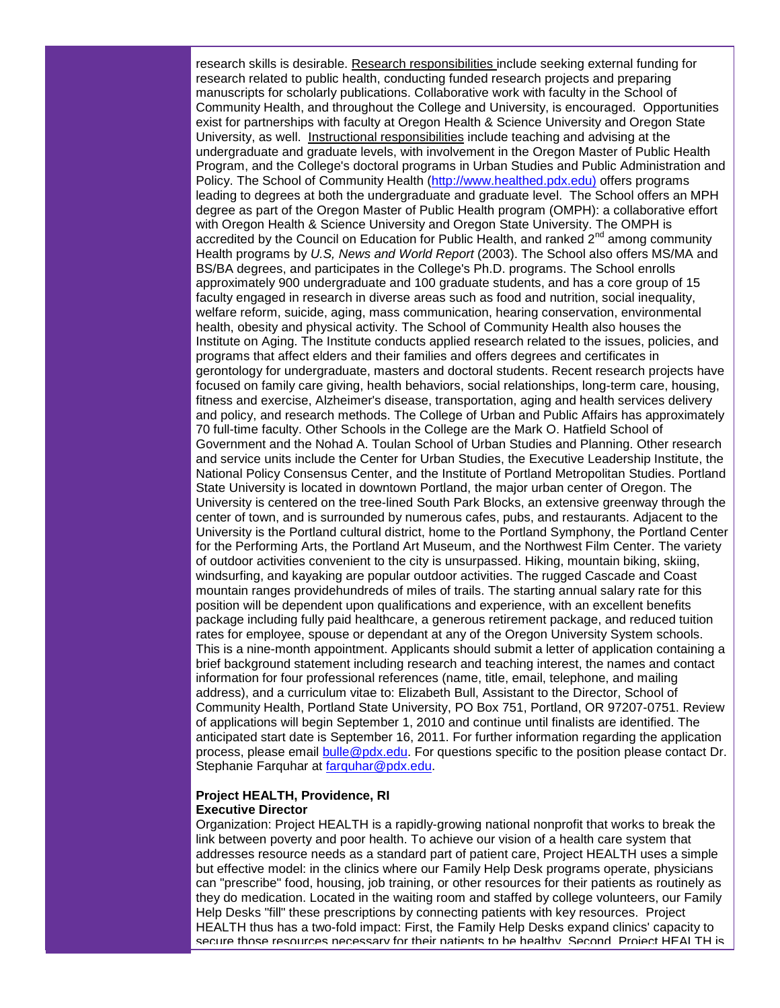research skills is desirable. Research responsibilities include seeking external funding for research related to public health, conducting funded research projects and preparing manuscripts for scholarly publications. Collaborative work with faculty in the School of Community Health, and throughout the College and University, is encouraged. Opportunities exist for partnerships with faculty at Oregon Health & Science University and Oregon State University, as well. Instructional responsibilities include teaching and advising at the undergraduate and graduate levels, with involvement in the Oregon Master of Public Health Program, and the College's doctoral programs in Urban Studies and Public Administration and Policy. The School of Community Health [\(http://www.healthed.pdx.edu\)](http://r20.rs6.net/tn.jsp?et=1103599633351&s=1&e=001DnY4abxwoKIvFfiCb0BKe1QKw5ZwW1eCYM4VAdnka1rGZayLMmbTwgK9_Q8pqIFGR-wN5hI4T9mzQNuRu_Fh9ymk00sGEOYmE2f1Uyf-2d1arx7jWCgnYw==) offers programs leading to degrees at both the undergraduate and graduate level. The School offers an MPH degree as part of the Oregon Master of Public Health program (OMPH): a collaborative effort with Oregon Health & Science University and Oregon State University. The OMPH is accredited by the Council on Education for Public Health, and ranked  $2<sup>nd</sup>$  among community Health programs by *U.S, News and World Report* (2003). The School also offers MS/MA and BS/BA degrees, and participates in the College's Ph.D. programs. The School enrolls approximately 900 undergraduate and 100 graduate students, and has a core group of 15 faculty engaged in research in diverse areas such as food and nutrition, social inequality, welfare reform, suicide, aging, mass communication, hearing conservation, environmental health, obesity and physical activity. The School of Community Health also houses the Institute on Aging. The Institute conducts applied research related to the issues, policies, and programs that affect elders and their families and offers degrees and certificates in gerontology for undergraduate, masters and doctoral students. Recent research projects have focused on family care giving, health behaviors, social relationships, long-term care, housing, fitness and exercise, Alzheimer's disease, transportation, aging and health services delivery and policy, and research methods. The College of Urban and Public Affairs has approximately 70 full-time faculty. Other Schools in the College are the Mark O. Hatfield School of Government and the Nohad A. Toulan School of Urban Studies and Planning. Other research and service units include the Center for Urban Studies, the Executive Leadership Institute, the National Policy Consensus Center, and the Institute of Portland Metropolitan Studies. Portland State University is located in downtown Portland, the major urban center of Oregon. The University is centered on the tree-lined South Park Blocks, an extensive greenway through the center of town, and is surrounded by numerous cafes, pubs, and restaurants. Adjacent to the University is the Portland cultural district, home to the Portland Symphony, the Portland Center for the Performing Arts, the Portland Art Museum, and the Northwest Film Center. The variety of outdoor activities convenient to the city is unsurpassed. Hiking, mountain biking, skiing, windsurfing, and kayaking are popular outdoor activities. The rugged Cascade and Coast mountain ranges providehundreds of miles of trails. The starting annual salary rate for this position will be dependent upon qualifications and experience, with an excellent benefits package including fully paid healthcare, a generous retirement package, and reduced tuition rates for employee, spouse or dependant at any of the Oregon University System schools. This is a nine-month appointment. Applicants should submit a letter of application containing a brief background statement including research and teaching interest, the names and contact information for four professional references (name, title, email, telephone, and mailing address), and a curriculum vitae to: Elizabeth Bull, Assistant to the Director, School of Community Health, Portland State University, PO Box 751, Portland, OR 97207-0751. Review of applications will begin September 1, 2010 and continue until finalists are identified. The anticipated start date is September 16, 2011. For further information regarding the application process, please email [bulle@pdx.edu.](mailto:bulle@pdx.edu) For questions specific to the position please contact Dr. Stephanie Farquhar at [farquhar@pdx.edu.](mailto:farquhar@pdx.edu)

#### **Project HEALTH, Providence, RI Executive Director**

Organization: Project HEALTH is a rapidly-growing national nonprofit that works to break the link between poverty and poor health. To achieve our vision of a health care system that addresses resource needs as a standard part of patient care, Project HEALTH uses a simple but effective model: in the clinics where our Family Help Desk programs operate, physicians can "prescribe" food, housing, job training, or other resources for their patients as routinely as they do medication. Located in the waiting room and staffed by college volunteers, our Family Help Desks "fill" these prescriptions by connecting patients with key resources. Project HEALTH thus has a two-fold impact: First, the Family Help Desks expand clinics' capacity to secure those resources necessary for their patients to be healthy. Second, Project HEALTH is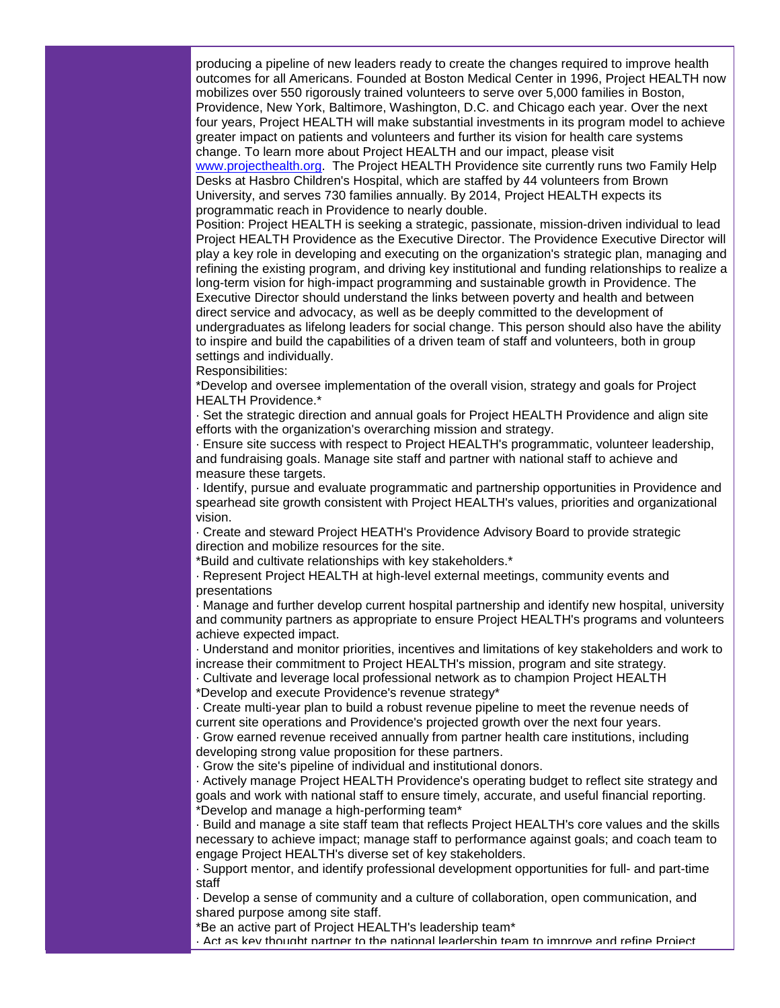producing a pipeline of new leaders ready to create the changes required to improve health outcomes for all Americans. Founded at Boston Medical Center in 1996, Project HEALTH now mobilizes over 550 rigorously trained volunteers to serve over 5,000 families in Boston, Providence, New York, Baltimore, Washington, D.C. and Chicago each year. Over the next four years, Project HEALTH will make substantial investments in its program model to achieve greater impact on patients and volunteers and further its vision for health care systems change. To learn more about Project HEALTH and our impact, please visit [www.projecthealth.org.](http://www.projecthealth.org/) The Project HEALTH Providence site currently runs two Family Help Desks at Hasbro Children's Hospital, which are staffed by 44 volunteers from Brown

University, and serves 730 families annually. By 2014, Project HEALTH expects its programmatic reach in Providence to nearly double.

Position: Project HEALTH is seeking a strategic, passionate, mission-driven individual to lead Project HEALTH Providence as the Executive Director. The Providence Executive Director will play a key role in developing and executing on the organization's strategic plan, managing and refining the existing program, and driving key institutional and funding relationships to realize a long-term vision for high-impact programming and sustainable growth in Providence. The Executive Director should understand the links between poverty and health and between direct service and advocacy, as well as be deeply committed to the development of undergraduates as lifelong leaders for social change. This person should also have the ability to inspire and build the capabilities of a driven team of staff and volunteers, both in group settings and individually.

Responsibilities:

\*Develop and oversee implementation of the overall vision, strategy and goals for Project HEALTH Providence.\*

· Set the strategic direction and annual goals for Project HEALTH Providence and align site efforts with the organization's overarching mission and strategy.

· Ensure site success with respect to Project HEALTH's programmatic, volunteer leadership, and fundraising goals. Manage site staff and partner with national staff to achieve and measure these targets.

· Identify, pursue and evaluate programmatic and partnership opportunities in Providence and spearhead site growth consistent with Project HEALTH's values, priorities and organizational vision.

· Create and steward Project HEATH's Providence Advisory Board to provide strategic direction and mobilize resources for the site.

\*Build and cultivate relationships with key stakeholders.\*

· Represent Project HEALTH at high-level external meetings, community events and presentations

· Manage and further develop current hospital partnership and identify new hospital, university and community partners as appropriate to ensure Project HEALTH's programs and volunteers achieve expected impact.

· Understand and monitor priorities, incentives and limitations of key stakeholders and work to increase their commitment to Project HEALTH's mission, program and site strategy.

· Cultivate and leverage local professional network as to champion Project HEALTH

\*Develop and execute Providence's revenue strategy\*

· Create multi-year plan to build a robust revenue pipeline to meet the revenue needs of current site operations and Providence's projected growth over the next four years.

· Grow earned revenue received annually from partner health care institutions, including developing strong value proposition for these partners.

· Grow the site's pipeline of individual and institutional donors.

· Actively manage Project HEALTH Providence's operating budget to reflect site strategy and goals and work with national staff to ensure timely, accurate, and useful financial reporting. \*Develop and manage a high-performing team\*

· Build and manage a site staff team that reflects Project HEALTH's core values and the skills necessary to achieve impact; manage staff to performance against goals; and coach team to engage Project HEALTH's diverse set of key stakeholders.

· Support mentor, and identify professional development opportunities for full- and part-time staff

· Develop a sense of community and a culture of collaboration, open communication, and shared purpose among site staff.

\*Be an active part of Project HEALTH's leadership team\*

· Act as key thought partner to the national leadership team to improve and refine Project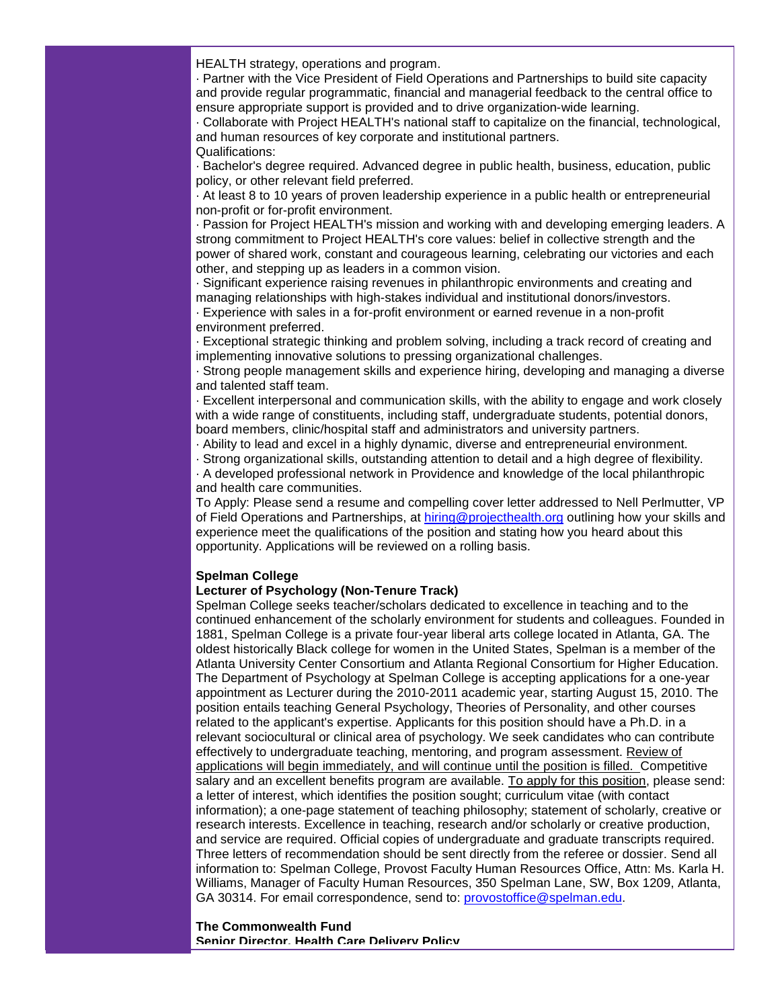HEALTH strategy, operations and program.

· Partner with the Vice President of Field Operations and Partnerships to build site capacity and provide regular programmatic, financial and managerial feedback to the central office to ensure appropriate support is provided and to drive organization-wide learning.

· Collaborate with Project HEALTH's national staff to capitalize on the financial, technological, and human resources of key corporate and institutional partners. Qualifications:

· Bachelor's degree required. Advanced degree in public health, business, education, public policy, or other relevant field preferred.

· At least 8 to 10 years of proven leadership experience in a public health or entrepreneurial non-profit or for-profit environment.

· Passion for Project HEALTH's mission and working with and developing emerging leaders. A strong commitment to Project HEALTH's core values: belief in collective strength and the power of shared work, constant and courageous learning, celebrating our victories and each other, and stepping up as leaders in a common vision.

· Significant experience raising revenues in philanthropic environments and creating and managing relationships with high-stakes individual and institutional donors/investors.

· Experience with sales in a for-profit environment or earned revenue in a non-profit environment preferred.

· Exceptional strategic thinking and problem solving, including a track record of creating and implementing innovative solutions to pressing organizational challenges.

· Strong people management skills and experience hiring, developing and managing a diverse and talented staff team.

· Excellent interpersonal and communication skills, with the ability to engage and work closely with a wide range of constituents, including staff, undergraduate students, potential donors, board members, clinic/hospital staff and administrators and university partners.

· Ability to lead and excel in a highly dynamic, diverse and entrepreneurial environment.

· Strong organizational skills, outstanding attention to detail and a high degree of flexibility.

· A developed professional network in Providence and knowledge of the local philanthropic and health care communities.

To Apply: Please send a resume and compelling cover letter addressed to Nell Perlmutter, VP of Field Operations and Partnerships, at [hiring@projecthealth.org](mailto:hiring@projecthealth.org) outlining how your skills and experience meet the qualifications of the position and stating how you heard about this opportunity. Applications will be reviewed on a rolling basis.

#### **Spelman College**

#### **Lecturer of Psychology (Non-Tenure Track)**

Spelman College seeks teacher/scholars dedicated to excellence in teaching and to the continued enhancement of the scholarly environment for students and colleagues. Founded in 1881, Spelman College is a private four-year liberal arts college located in Atlanta, GA. The oldest historically Black college for women in the United States, Spelman is a member of the Atlanta University Center Consortium and Atlanta Regional Consortium for Higher Education. The Department of Psychology at Spelman College is accepting applications for a one-year appointment as Lecturer during the 2010-2011 academic year, starting August 15, 2010. The position entails teaching General Psychology, Theories of Personality, and other courses related to the applicant's expertise. Applicants for this position should have a Ph.D. in a relevant sociocultural or clinical area of psychology. We seek candidates who can contribute effectively to undergraduate teaching, mentoring, and program assessment. Review of applications will begin immediately, and will continue until the position is filled. Competitive salary and an excellent benefits program are available. To apply for this position, please send: a letter of interest, which identifies the position sought; curriculum vitae (with contact information); a one-page statement of teaching philosophy; statement of scholarly, creative or research interests. Excellence in teaching, research and/or scholarly or creative production, and service are required. Official copies of undergraduate and graduate transcripts required. Three letters of recommendation should be sent directly from the referee or dossier. Send all information to: Spelman College, Provost Faculty Human Resources Office, Attn: Ms. Karla H. Williams, Manager of Faculty Human Resources, 350 Spelman Lane, SW, Box 1209, Atlanta, GA 30314. For email correspondence, send to: [provostoffice@spelman.edu.](mailto:provostoffice@spelman.edu)

#### **The Commonwealth Fund Senior Director, Health Care Delivery Policy**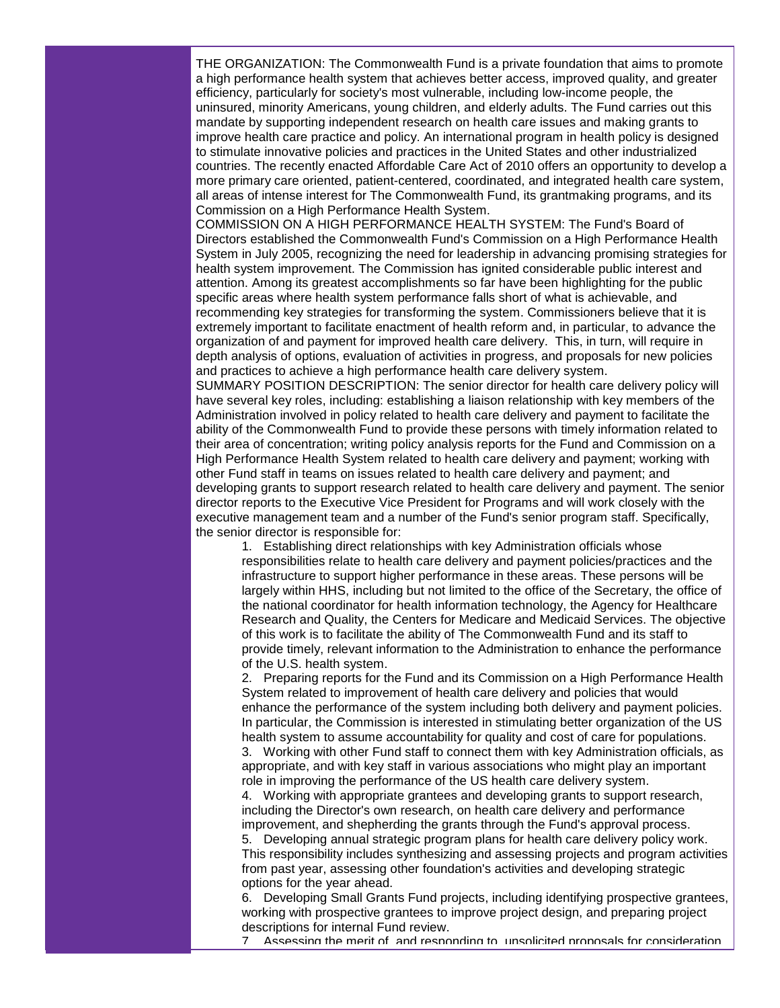THE ORGANIZATION: The Commonwealth Fund is a private foundation that aims to promote a high performance health system that achieves better access, improved quality, and greater efficiency, particularly for society's most vulnerable, including low-income people, the uninsured, minority Americans, young children, and elderly adults. The Fund carries out this mandate by supporting independent research on health care issues and making grants to improve health care practice and policy. An international program in health policy is designed to stimulate innovative policies and practices in the United States and other industrialized countries. The recently enacted Affordable Care Act of 2010 offers an opportunity to develop a more primary care oriented, patient-centered, coordinated, and integrated health care system, all areas of intense interest for The Commonwealth Fund, its grantmaking programs, and its Commission on a High Performance Health System.

COMMISSION ON A HIGH PERFORMANCE HEALTH SYSTEM: The Fund's Board of Directors established the Commonwealth Fund's Commission on a High Performance Health System in July 2005, recognizing the need for leadership in advancing promising strategies for health system improvement. The Commission has ignited considerable public interest and attention. Among its greatest accomplishments so far have been highlighting for the public specific areas where health system performance falls short of what is achievable, and recommending key strategies for transforming the system. Commissioners believe that it is extremely important to facilitate enactment of health reform and, in particular, to advance the organization of and payment for improved health care delivery. This, in turn, will require in depth analysis of options, evaluation of activities in progress, and proposals for new policies and practices to achieve a high performance health care delivery system.

SUMMARY POSITION DESCRIPTION: The senior director for health care delivery policy will have several key roles, including: establishing a liaison relationship with key members of the Administration involved in policy related to health care delivery and payment to facilitate the ability of the Commonwealth Fund to provide these persons with timely information related to their area of concentration; writing policy analysis reports for the Fund and Commission on a High Performance Health System related to health care delivery and payment; working with other Fund staff in teams on issues related to health care delivery and payment; and developing grants to support research related to health care delivery and payment. The senior director reports to the Executive Vice President for Programs and will work closely with the executive management team and a number of the Fund's senior program staff. Specifically, the senior director is responsible for:

1. Establishing direct relationships with key Administration officials whose responsibilities relate to health care delivery and payment policies/practices and the infrastructure to support higher performance in these areas. These persons will be largely within HHS, including but not limited to the office of the Secretary, the office of the national coordinator for health information technology, the Agency for Healthcare Research and Quality, the Centers for Medicare and Medicaid Services. The objective of this work is to facilitate the ability of The Commonwealth Fund and its staff to provide timely, relevant information to the Administration to enhance the performance of the U.S. health system.

2. Preparing reports for the Fund and its Commission on a High Performance Health System related to improvement of health care delivery and policies that would enhance the performance of the system including both delivery and payment policies. In particular, the Commission is interested in stimulating better organization of the US health system to assume accountability for quality and cost of care for populations.

3. Working with other Fund staff to connect them with key Administration officials, as appropriate, and with key staff in various associations who might play an important role in improving the performance of the US health care delivery system.

4. Working with appropriate grantees and developing grants to support research, including the Director's own research, on health care delivery and performance improvement, and shepherding the grants through the Fund's approval process.

5. Developing annual strategic program plans for health care delivery policy work. This responsibility includes synthesizing and assessing projects and program activities from past year, assessing other foundation's activities and developing strategic options for the year ahead.

6. Developing Small Grants Fund projects, including identifying prospective grantees, working with prospective grantees to improve project design, and preparing project descriptions for internal Fund review.

7. Assessing the merit of, and responding to, unsolicited proposals for consideration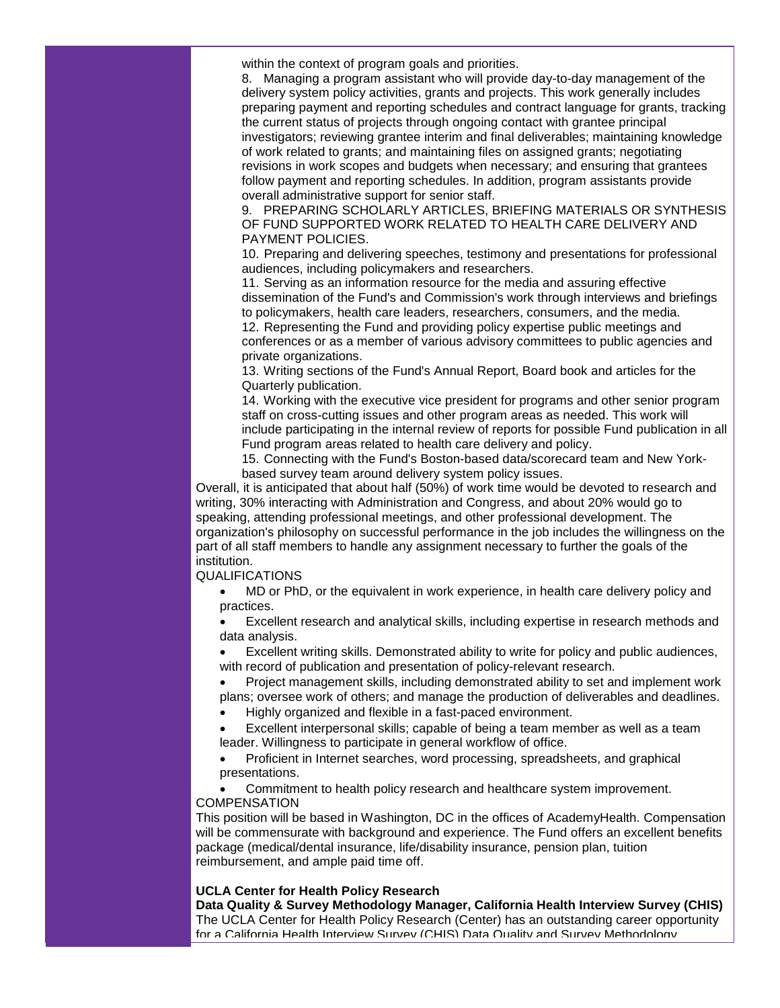within the context of program goals and priorities.

8. Managing a program assistant who will provide day-to-day management of the delivery system policy activities, grants and projects. This work generally includes preparing payment and reporting schedules and contract language for grants, tracking the current status of projects through ongoing contact with grantee principal investigators; reviewing grantee interim and final deliverables; maintaining knowledge of work related to grants; and maintaining files on assigned grants; negotiating revisions in work scopes and budgets when necessary; and ensuring that grantees follow payment and reporting schedules. In addition, program assistants provide overall administrative support for senior staff.

9. PREPARING SCHOLARLY ARTICLES, BRIEFING MATERIALS OR SYNTHESIS OF FUND SUPPORTED WORK RELATED TO HEALTH CARE DELIVERY AND PAYMENT POLICIES.

10. Preparing and delivering speeches, testimony and presentations for professional audiences, including policymakers and researchers.

11. Serving as an information resource for the media and assuring effective dissemination of the Fund's and Commission's work through interviews and briefings to policymakers, health care leaders, researchers, consumers, and the media. 12. Representing the Fund and providing policy expertise public meetings and conferences or as a member of various advisory committees to public agencies and private organizations.

13. Writing sections of the Fund's Annual Report, Board book and articles for the Quarterly publication.

14. Working with the executive vice president for programs and other senior program staff on cross-cutting issues and other program areas as needed. This work will include participating in the internal review of reports for possible Fund publication in all Fund program areas related to health care delivery and policy.

15. Connecting with the Fund's Boston-based data/scorecard team and New Yorkbased survey team around delivery system policy issues.

Overall, it is anticipated that about half (50%) of work time would be devoted to research and writing, 30% interacting with Administration and Congress, and about 20% would go to speaking, attending professional meetings, and other professional development. The organization's philosophy on successful performance in the job includes the willingness on the part of all staff members to handle any assignment necessary to further the goals of the institution.

#### QUALIFICATIONS

• MD or PhD, or the equivalent in work experience, in health care delivery policy and practices.

• Excellent research and analytical skills, including expertise in research methods and data analysis.

• Excellent writing skills. Demonstrated ability to write for policy and public audiences, with record of publication and presentation of policy-relevant research.

• Project management skills, including demonstrated ability to set and implement work plans; oversee work of others; and manage the production of deliverables and deadlines.

• Highly organized and flexible in a fast-paced environment.

• Excellent interpersonal skills; capable of being a team member as well as a team leader. Willingness to participate in general workflow of office.

• Proficient in Internet searches, word processing, spreadsheets, and graphical presentations.

• Commitment to health policy research and healthcare system improvement. **COMPENSATION** 

This position will be based in Washington, DC in the offices of AcademyHealth. Compensation will be commensurate with background and experience. The Fund offers an excellent benefits package (medical/dental insurance, life/disability insurance, pension plan, tuition reimbursement, and ample paid time off.

#### **UCLA Center for Health Policy Research**

**Data Quality & Survey Methodology Manager, California Health Interview Survey (CHIS)** The UCLA Center for Health Policy Research (Center) has an outstanding career opportunity for a California Health Interview Survey (CHIS) Data Quality and Survey Methodology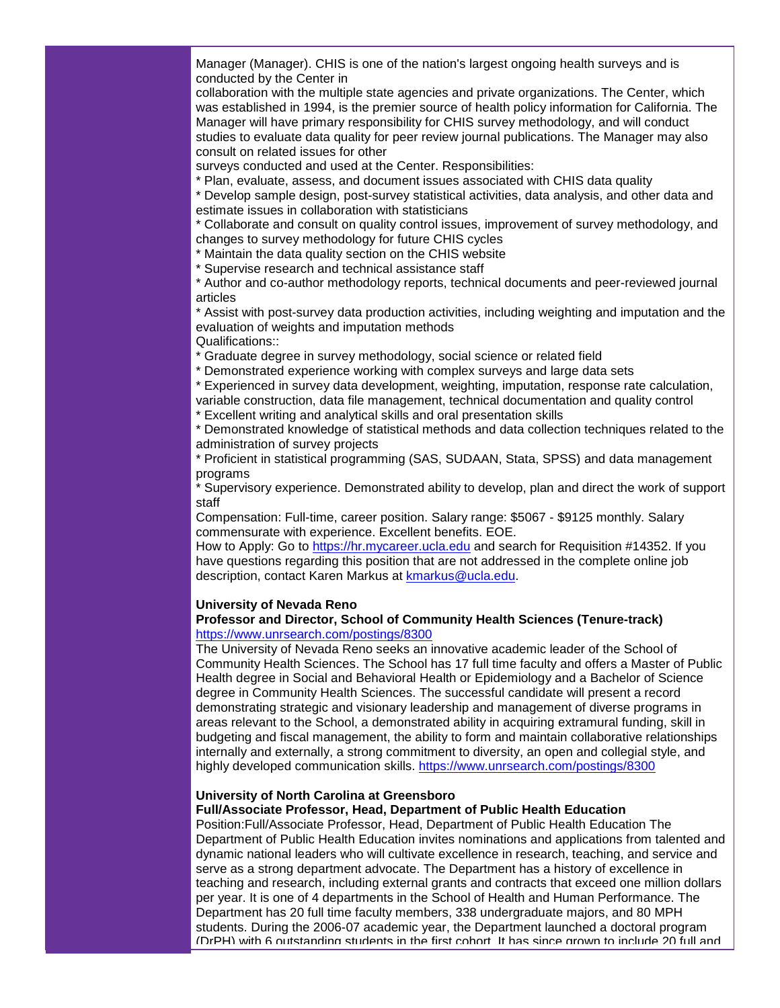Manager (Manager). CHIS is one of the nation's largest ongoing health surveys and is conducted by the Center in

collaboration with the multiple state agencies and private organizations. The Center, which was established in 1994, is the premier source of health policy information for California. The Manager will have primary responsibility for CHIS survey methodology, and will conduct studies to evaluate data quality for peer review journal publications. The Manager may also consult on related issues for other

surveys conducted and used at the Center. Responsibilities:

\* Plan, evaluate, assess, and document issues associated with CHIS data quality

\* Develop sample design, post-survey statistical activities, data analysis, and other data and estimate issues in collaboration with statisticians

\* Collaborate and consult on quality control issues, improvement of survey methodology, and changes to survey methodology for future CHIS cycles

\* Maintain the data quality section on the CHIS website

\* Supervise research and technical assistance staff

\* Author and co-author methodology reports, technical documents and peer-reviewed journal articles

\* Assist with post-survey data production activities, including weighting and imputation and the evaluation of weights and imputation methods

Qualifications::

\* Graduate degree in survey methodology, social science or related field

\* Demonstrated experience working with complex surveys and large data sets

\* Experienced in survey data development, weighting, imputation, response rate calculation, variable construction, data file management, technical documentation and quality control

\* Excellent writing and analytical skills and oral presentation skills

\* Demonstrated knowledge of statistical methods and data collection techniques related to the administration of survey projects

\* Proficient in statistical programming (SAS, SUDAAN, Stata, SPSS) and data management programs

\* Supervisory experience. Demonstrated ability to develop, plan and direct the work of support staff

Compensation: Full-time, career position. Salary range: \$5067 - \$9125 monthly. Salary commensurate with experience. Excellent benefits. EOE.

How to Apply: Go to [https://hr.mycareer.ucla.edu](http://r20.rs6.net/tn.jsp?et=1103599633351&s=1&e=001DnY4abxwoKIFOLvUKXIG5-CHZJJMZyspqRzreAqhfnspIPvuegBYn5qGXNA1VHpJgaqdMDt7ZJSQbKV2zhd9S-EY3CPoFyQMry7vaOaybegB13kcWGe3zQ==) and search for Requisition #14352. If you have questions regarding this position that are not addressed in the complete online job description, contact Karen Markus at [kmarkus@ucla.edu.](mailto:kmarkus@ucla.edu)

#### **University of Nevada Reno**

#### **Professor and Director, School of Community Health Sciences (Tenure-track)** [https://www.unrsearch.com/postings/8300](http://r20.rs6.net/tn.jsp?et=1103599633351&s=1&e=001DnY4abxwoKL67rdypsud3LBktd0S-yyaawIvQkwrfGflSPqgHIR4oiD2ohsTPm45KADZF5TDvbZrIlDj2QxsEx3nzTHYukuZLOaPjJtGjK69mMvcA7HuA2KaqiC9eSkz0WktpM7w2bc=)

The University of Nevada Reno seeks an innovative academic leader of the School of Community Health Sciences. The School has 17 full time faculty and offers a Master of Public Health degree in Social and Behavioral Health or Epidemiology and a Bachelor of Science degree in Community Health Sciences. The successful candidate will present a record demonstrating strategic and visionary leadership and management of diverse programs in areas relevant to the School, a demonstrated ability in acquiring extramural funding, skill in budgeting and fiscal management, the ability to form and maintain collaborative relationships internally and externally, a strong commitment to diversity, an open and collegial style, and highly developed communication skills. [https://www.unrsearch.com/postings/8300](http://r20.rs6.net/tn.jsp?et=1103599633351&s=1&e=001DnY4abxwoKL67rdypsud3LBktd0S-yyaawIvQkwrfGflSPqgHIR4oiD2ohsTPm45KADZF5TDvbZrIlDj2QxsEx3nzTHYukuZLOaPjJtGjK69mMvcA7HuA2KaqiC9eSkz0WktpM7w2bc=)

#### **University of North Carolina at Greensboro**

#### **Full/Associate Professor, Head, Department of Public Health Education**

Position:Full/Associate Professor, Head, Department of Public Health Education The Department of Public Health Education invites nominations and applications from talented and dynamic national leaders who will cultivate excellence in research, teaching, and service and serve as a strong department advocate. The Department has a history of excellence in teaching and research, including external grants and contracts that exceed one million dollars per year. It is one of 4 departments in the School of Health and Human Performance. The Department has 20 full time faculty members, 338 undergraduate majors, and 80 MPH students. During the 2006-07 academic year, the Department launched a doctoral program (DrPH) with 6 outstanding students in the first cohort. It has since grown to include 20 full and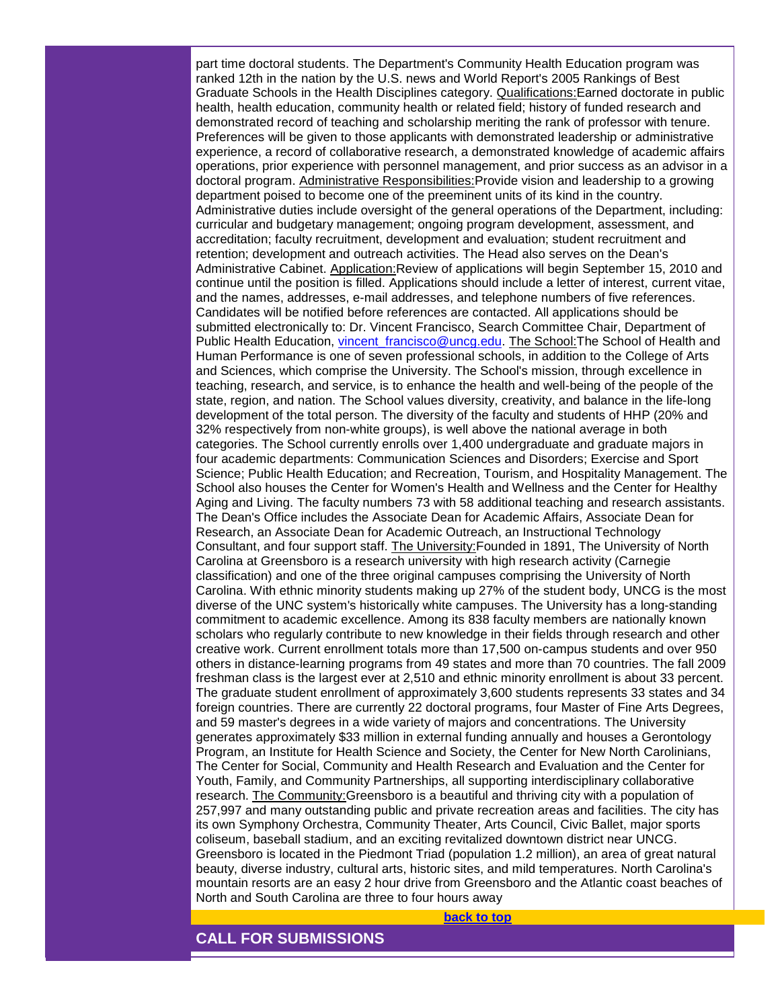part time doctoral students. The Department's Community Health Education program was ranked 12th in the nation by the U.S. news and World Report's 2005 Rankings of Best Graduate Schools in the Health Disciplines category. Qualifications:Earned doctorate in public health, health education, community health or related field; history of funded research and demonstrated record of teaching and scholarship meriting the rank of professor with tenure. Preferences will be given to those applicants with demonstrated leadership or administrative experience, a record of collaborative research, a demonstrated knowledge of academic affairs operations, prior experience with personnel management, and prior success as an advisor in a doctoral program. Administrative Responsibilities:Provide vision and leadership to a growing department poised to become one of the preeminent units of its kind in the country. Administrative duties include oversight of the general operations of the Department, including: curricular and budgetary management; ongoing program development, assessment, and accreditation; faculty recruitment, development and evaluation; student recruitment and retention; development and outreach activities. The Head also serves on the Dean's Administrative Cabinet. Application:Review of applications will begin September 15, 2010 and continue until the position is filled. Applications should include a letter of interest, current vitae, and the names, addresses, e-mail addresses, and telephone numbers of five references. Candidates will be notified before references are contacted. All applications should be submitted electronically to: Dr. Vincent Francisco, Search Committee Chair, Department of Public Health Education, [vincent\\_francisco@uncg.edu.](mailto:vincent_francisco@uncg.edu) The School:The School of Health and Human Performance is one of seven professional schools, in addition to the College of Arts and Sciences, which comprise the University. The School's mission, through excellence in teaching, research, and service, is to enhance the health and well-being of the people of the state, region, and nation. The School values diversity, creativity, and balance in the life-long development of the total person. The diversity of the faculty and students of HHP (20% and 32% respectively from non-white groups), is well above the national average in both categories. The School currently enrolls over 1,400 undergraduate and graduate majors in four academic departments: Communication Sciences and Disorders; Exercise and Sport Science; Public Health Education; and Recreation, Tourism, and Hospitality Management. The School also houses the Center for Women's Health and Wellness and the Center for Healthy Aging and Living. The faculty numbers 73 with 58 additional teaching and research assistants. The Dean's Office includes the Associate Dean for Academic Affairs, Associate Dean for Research, an Associate Dean for Academic Outreach, an Instructional Technology Consultant, and four support staff. The University:Founded in 1891, The University of North Carolina at Greensboro is a research university with high research activity (Carnegie classification) and one of the three original campuses comprising the University of North Carolina. With ethnic minority students making up 27% of the student body, UNCG is the most diverse of the UNC system's historically white campuses. The University has a long-standing commitment to academic excellence. Among its 838 faculty members are nationally known scholars who regularly contribute to new knowledge in their fields through research and other creative work. Current enrollment totals more than 17,500 on-campus students and over 950 others in distance-learning programs from 49 states and more than 70 countries. The fall 2009 freshman class is the largest ever at 2,510 and ethnic minority enrollment is about 33 percent. The graduate student enrollment of approximately 3,600 students represents 33 states and 34 foreign countries. There are currently 22 doctoral programs, four Master of Fine Arts Degrees, and 59 master's degrees in a wide variety of majors and concentrations. The University generates approximately \$33 million in external funding annually and houses a Gerontology Program, an Institute for Health Science and Society, the Center for New North Carolinians, The Center for Social, Community and Health Research and Evaluation and the Center for Youth, Family, and Community Partnerships, all supporting interdisciplinary collaborative research. The Community:Greensboro is a beautiful and thriving city with a population of 257,997 and many outstanding public and private recreation areas and facilities. The city has its own Symphony Orchestra, Community Theater, Arts Council, Civic Ballet, major sports coliseum, baseball stadium, and an exciting revitalized downtown district near UNCG. Greensboro is located in the Piedmont Triad (population 1.2 million), an area of great natural beauty, diverse industry, cultural arts, historic sites, and mild temperatures. North Carolina's mountain resorts are an easy 2 hour drive from Greensboro and the Atlantic coast beaches of North and South Carolina are three to four hours away

**[back to top](#page-0-2)**

<span id="page-11-0"></span>**CALL FOR SUBMISSIONS**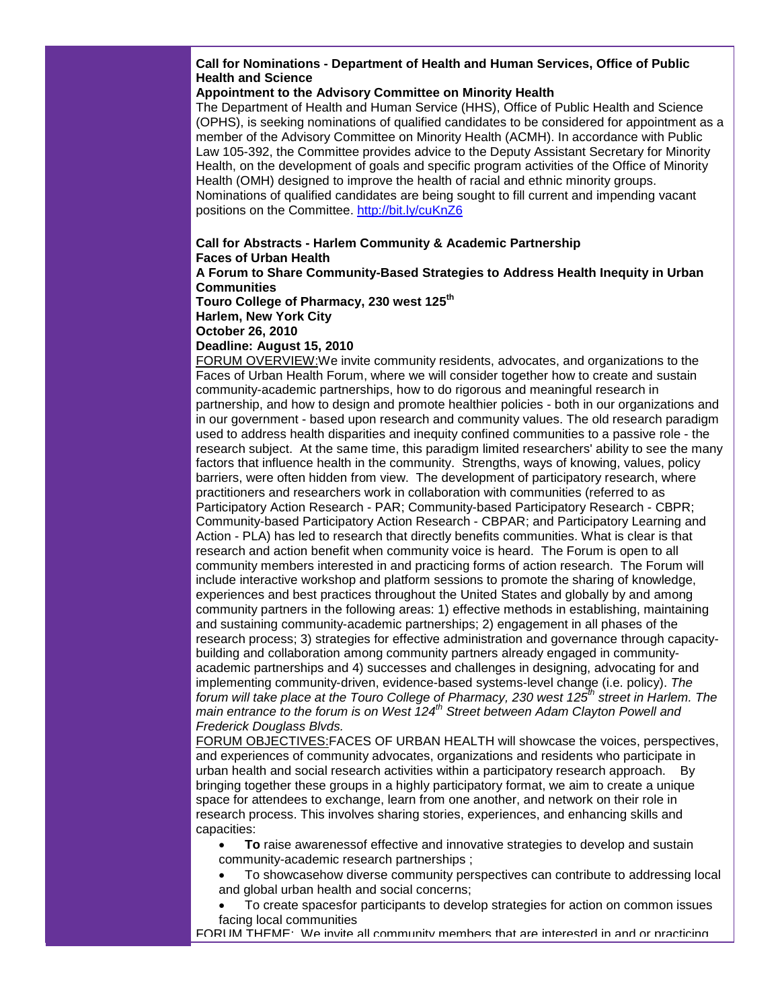**Call for Nominations - Department of Health and Human Services, Office of Public Health and Science**

#### **Appointment to the Advisory Committee on Minority Health**

The Department of Health and Human Service (HHS), Office of Public Health and Science (OPHS), is seeking nominations of qualified candidates to be considered for appointment as a member of the Advisory Committee on Minority Health (ACMH). In accordance with Public Law 105-392, the Committee provides advice to the Deputy Assistant Secretary for Minority Health, on the development of goals and specific program activities of the Office of Minority Health (OMH) designed to improve the health of racial and ethnic minority groups. Nominations of qualified candidates are being sought to fill current and impending vacant positions on the Committee. [http://bit.ly/cuKnZ6](http://r20.rs6.net/tn.jsp?et=1103599633351&s=1&e=001DnY4abxwoKKDyMvDD3gaHSpZeBFlHqpV45W7aQmRFwtpS6vo5a-xtzrkbdtRi5Qo4zm_9zT65ZJdwba4Y_12AxryYOntwJJo7NItH1SuQdA=)

## **Call for Abstracts - Harlem Community & Academic Partnership Faces of Urban Health**

**A Forum to Share Community-Based Strategies to Address Health Inequity in Urban Communities**

**Touro College of Pharmacy, 230 west 125th**

**Harlem, New York City**

**October 26, 2010**

**Deadline: August 15, 2010**

FORUM OVERVIEW:We invite community residents, advocates, and organizations to the Faces of Urban Health Forum, where we will consider together how to create and sustain community-academic partnerships, how to do rigorous and meaningful research in partnership, and how to design and promote healthier policies - both in our organizations and in our government - based upon research and community values. The old research paradigm used to address health disparities and inequity confined communities to a passive role - the research subject. At the same time, this paradigm limited researchers' ability to see the many factors that influence health in the community. Strengths, ways of knowing, values, policy barriers, were often hidden from view. The development of participatory research, where practitioners and researchers work in collaboration with communities (referred to as Participatory Action Research - PAR; Community-based Participatory Research - CBPR; Community-based Participatory Action Research - CBPAR; and Participatory Learning and Action - PLA) has led to research that directly benefits communities. What is clear is that research and action benefit when community voice is heard. The Forum is open to all community members interested in and practicing forms of action research. The Forum will include interactive workshop and platform sessions to promote the sharing of knowledge, experiences and best practices throughout the United States and globally by and among community partners in the following areas: 1) effective methods in establishing, maintaining and sustaining community-academic partnerships; 2) engagement in all phases of the research process; 3) strategies for effective administration and governance through capacitybuilding and collaboration among community partners already engaged in communityacademic partnerships and 4) successes and challenges in designing, advocating for and implementing community-driven, evidence-based systems-level change (i.e. policy). *The forum will take place at the Touro College of Pharmacy, 230 west 125th street in Harlem. The main entrance to the forum is on West 124th Street between Adam Clayton Powell and Frederick Douglass Blvds.* 

FORUM OBJECTIVES:FACES OF URBAN HEALTH will showcase the voices, perspectives, and experiences of community advocates, organizations and residents who participate in urban health and social research activities within a participatory research approach. By bringing together these groups in a highly participatory format, we aim to create a unique space for attendees to exchange, learn from one another, and network on their role in research process. This involves sharing stories, experiences, and enhancing skills and capacities:

• **To** raise awarenessof effective and innovative strategies to develop and sustain community-academic research partnerships ;

• To showcasehow diverse community perspectives can contribute to addressing local and global urban health and social concerns;

• To create spacesfor participants to develop strategies for action on common issues facing local communities

FORUM THEME: We invite all community members that are interested in and or practicing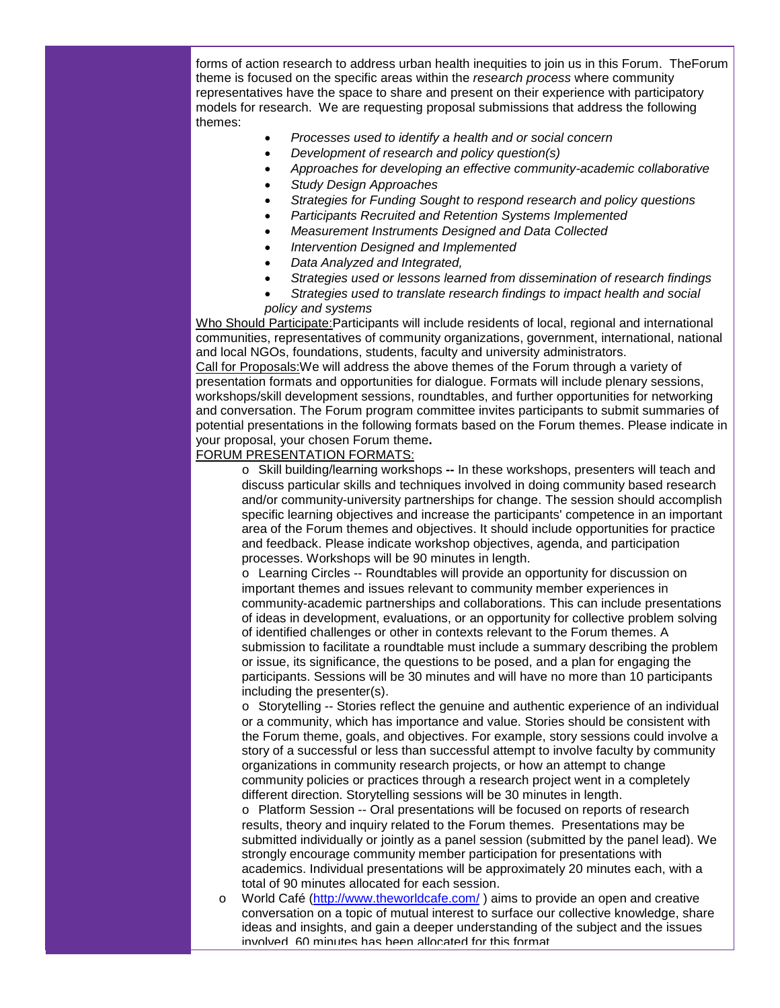forms of action research to address urban health inequities to join us in this Forum. TheForum theme is focused on the specific areas within the *research process* where community representatives have the space to share and present on their experience with participatory models for research. We are requesting proposal submissions that address the following themes:

- *Processes used to identify a health and or social concern*
- *Development of research and policy question(s)*
- *Approaches for developing an effective community-academic collaborative*
- *Study Design Approaches*
- *Strategies for Funding Sought to respond research and policy questions*
- *Participants Recruited and Retention Systems Implemented*
- *Measurement Instruments Designed and Data Collected*
- *Intervention Designed and Implemented*
- *Data Analyzed and Integrated,*
- *Strategies used or lessons learned from dissemination of research findings*
- *Strategies used to translate research findings to impact health and social policy and systems*

Who Should Participate:Participants will include residents of local, regional and international communities, representatives of community organizations, government, international, national and local NGOs, foundations, students, faculty and university administrators. Call for Proposals:We will address the above themes of the Forum through a variety of presentation formats and opportunities for dialogue. Formats will include plenary sessions, workshops/skill development sessions, roundtables, and further opportunities for networking and conversation. The Forum program committee invites participants to submit summaries of potential presentations in the following formats based on the Forum themes. Please indicate in your proposal, your chosen Forum theme**.**

#### FORUM PRESENTATION FORMATS:

o Skill building/learning workshops **--** In these workshops, presenters will teach and discuss particular skills and techniques involved in doing community based research and/or community-university partnerships for change. The session should accomplish specific learning objectives and increase the participants' competence in an important area of the Forum themes and objectives. It should include opportunities for practice and feedback. Please indicate workshop objectives, agenda, and participation processes. Workshops will be 90 minutes in length.

o Learning Circles -- Roundtables will provide an opportunity for discussion on important themes and issues relevant to community member experiences in community-academic partnerships and collaborations. This can include presentations of ideas in development, evaluations, or an opportunity for collective problem solving of identified challenges or other in contexts relevant to the Forum themes. A submission to facilitate a roundtable must include a summary describing the problem or issue, its significance, the questions to be posed, and a plan for engaging the participants. Sessions will be 30 minutes and will have no more than 10 participants including the presenter(s).

o Storytelling -- Stories reflect the genuine and authentic experience of an individual or a community, which has importance and value. Stories should be consistent with the Forum theme, goals, and objectives. For example, story sessions could involve a story of a successful or less than successful attempt to involve faculty by community organizations in community research projects, or how an attempt to change community policies or practices through a research project went in a completely different direction. Storytelling sessions will be 30 minutes in length.

o Platform Session -- Oral presentations will be focused on reports of research results, theory and inquiry related to the Forum themes. Presentations may be submitted individually or jointly as a panel session (submitted by the panel lead). We strongly encourage community member participation for presentations with academics. Individual presentations will be approximately 20 minutes each, with a total of 90 minutes allocated for each session.

o World Café [\(http://www.theworldcafe.com/](http://r20.rs6.net/tn.jsp?et=1103599633351&s=1&e=001DnY4abxwoKLMtHNYPohmPyj72W2ZqR3RcKilGPYpYNPHRc6dyxBaQOi4diYsgu4tGkqzsfbDoul2IHNwEY9cfyolWPIibCokKmUNIMz0ul4ndyuVrTbGLA==) ) aims to provide an open and creative conversation on a topic of mutual interest to surface our collective knowledge, share ideas and insights, and gain a deeper understanding of the subject and the issues involved. 60 minutes has been allocated for this format.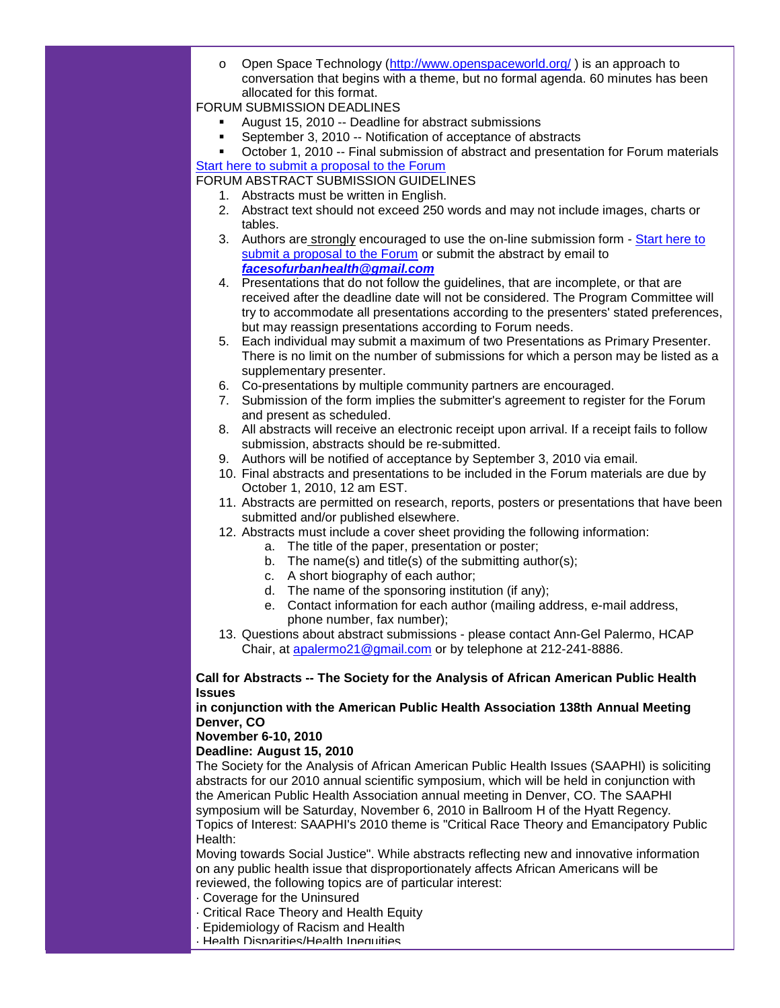$\circ$  Open Space Technology [\(http://www.openspaceworld.org/](http://r20.rs6.net/tn.jsp?et=1103599633351&s=1&e=001DnY4abxwoKJs0g9mfEfr8Zv1g3X9ZT2tw8Ly3bIAF0y9IUefphPm_Didtw8H-gm32CFv_B_8ods5dbMTCT7DqEUANByZay-ZyemvTGAA6Ew2EjUXIMxb6g==)) is an approach to conversation that begins with a theme, but no formal agenda. 60 minutes has been allocated for this format.

#### FORUM SUBMISSION DEADLINES

- August 15, 2010 -- Deadline for abstract submissions
- September 3, 2010 -- Notification of acceptance of abstracts
- October 1, 2010 -- Final submission of abstract and presentation for Forum materials

[Start here to submit a proposal to the Forum](http://r20.rs6.net/tn.jsp?et=1103599633351&s=1&e=001DnY4abxwoKLGTFDBF_VO2SwHuD3znuTnR-Ch5Vth7yheJYcR8zhn8Tc8Bzgxv0cqqLmcCXsR4cvTmYdwbVjDr_3tg3B82qvL09aU_h-CtiksA4UPfigqtm0gICz6OPzuVmob_m6z8cyiFtt-yVIjhqXdglq0po7UKWTLkwhs4oDnDV1tIOkVoVoQ_0A6XzEb)

FORUM ABSTRACT SUBMISSION GUIDELINES

- 1. Abstracts must be written in English.
- 2. Abstract text should not exceed 250 words and may not include images, charts or tables.
- 3. Authors are strongly encouraged to use the on-line submission form [Start here to](http://r20.rs6.net/tn.jsp?et=1103599633351&s=1&e=001DnY4abxwoKLGTFDBF_VO2SwHuD3znuTnR-Ch5Vth7yheJYcR8zhn8Tc8Bzgxv0cqqLmcCXsR4cvTmYdwbVjDr_3tg3B82qvL09aU_h-CtiksA4UPfigqtm0gICz6OPzuVmob_m6z8cyiFtt-yVIjhqXdglq0po7UKWTLkwhs4oDnDV1tIOkVoVoQ_0A6XzEb)  [submit a proposal to the Forum](http://r20.rs6.net/tn.jsp?et=1103599633351&s=1&e=001DnY4abxwoKLGTFDBF_VO2SwHuD3znuTnR-Ch5Vth7yheJYcR8zhn8Tc8Bzgxv0cqqLmcCXsR4cvTmYdwbVjDr_3tg3B82qvL09aU_h-CtiksA4UPfigqtm0gICz6OPzuVmob_m6z8cyiFtt-yVIjhqXdglq0po7UKWTLkwhs4oDnDV1tIOkVoVoQ_0A6XzEb) or submit the abstract by email to *[facesofurbanhealth@gmail.com](mailto:facesofurbanhealth@gmail.com)*
- 4. Presentations that do not follow the guidelines, that are incomplete, or that are received after the deadline date will not be considered. The Program Committee will try to accommodate all presentations according to the presenters' stated preferences, but may reassign presentations according to Forum needs.
- 5. Each individual may submit a maximum of two Presentations as Primary Presenter. There is no limit on the number of submissions for which a person may be listed as a supplementary presenter.
- 6. Co-presentations by multiple community partners are encouraged.
- 7. Submission of the form implies the submitter's agreement to register for the Forum and present as scheduled.
- 8. All abstracts will receive an electronic receipt upon arrival. If a receipt fails to follow submission, abstracts should be re-submitted.
- 9. Authors will be notified of acceptance by September 3, 2010 via email.
- 10. Final abstracts and presentations to be included in the Forum materials are due by October 1, 2010, 12 am EST.
- 11. Abstracts are permitted on research, reports, posters or presentations that have been submitted and/or published elsewhere.
- 12. Abstracts must include a cover sheet providing the following information:
	- a. The title of the paper, presentation or poster;
	- b. The name(s) and title(s) of the submitting author(s);
	- c. A short biography of each author;
	- d. The name of the sponsoring institution (if any);
	- e. Contact information for each author (mailing address, e-mail address, phone number, fax number);
- 13. Questions about abstract submissions please contact Ann-Gel Palermo, HCAP Chair, at [apalermo21@gmail.com](mailto:apalermo21@gmail.com) or by telephone at 212-241-8886.

#### **Call for Abstracts -- The Society for the Analysis of African American Public Health Issues**

#### **in conjunction with the American Public Health Association 138th Annual Meeting Denver, CO**

## **November 6-10, 2010**

## **Deadline: August 15, 2010**

The Society for the Analysis of African American Public Health Issues (SAAPHI) is soliciting abstracts for our 2010 annual scientific symposium, which will be held in conjunction with the American Public Health Association annual meeting in Denver, CO. The SAAPHI symposium will be Saturday, November 6, 2010 in Ballroom H of the Hyatt Regency. Topics of Interest: SAAPHI's 2010 theme is "Critical Race Theory and Emancipatory Public Health:

Moving towards Social Justice". While abstracts reflecting new and innovative information on any public health issue that disproportionately affects African Americans will be reviewed, the following topics are of particular interest:

- · Coverage for the Uninsured
- · Critical Race Theory and Health Equity
- · Epidemiology of Racism and Health
- · Health Disparities/Health Inequities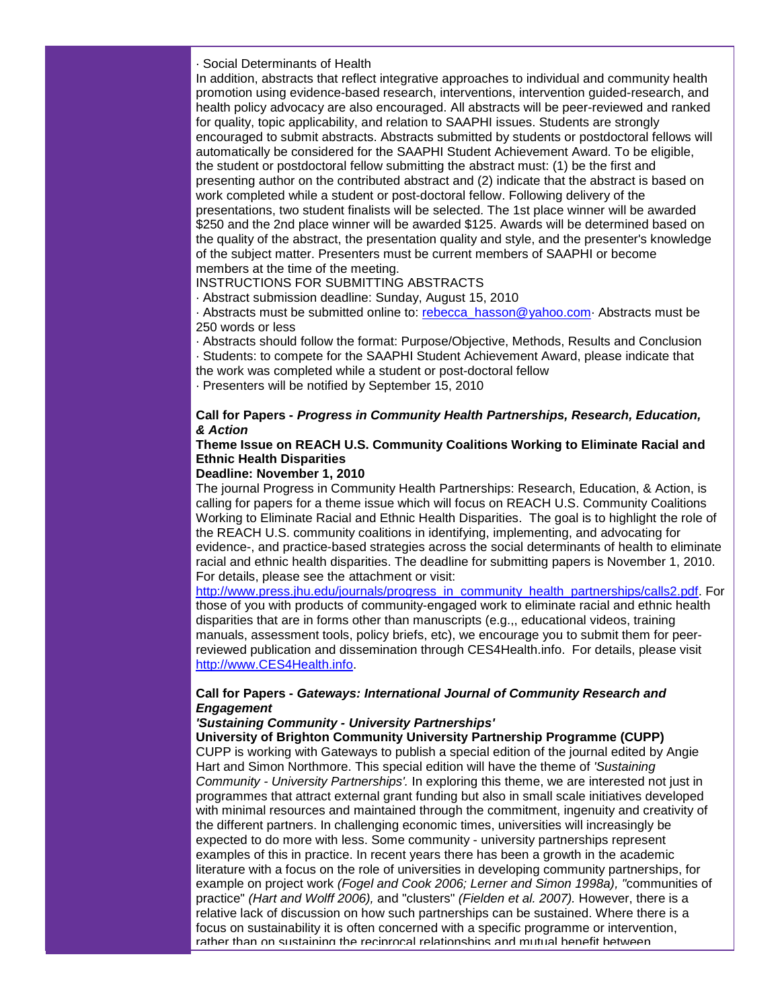#### · Social Determinants of Health

In addition, abstracts that reflect integrative approaches to individual and community health promotion using evidence-based research, interventions, intervention guided-research, and health policy advocacy are also encouraged. All abstracts will be peer-reviewed and ranked for quality, topic applicability, and relation to SAAPHI issues. Students are strongly encouraged to submit abstracts. Abstracts submitted by students or postdoctoral fellows will automatically be considered for the SAAPHI Student Achievement Award. To be eligible, the student or postdoctoral fellow submitting the abstract must: (1) be the first and presenting author on the contributed abstract and (2) indicate that the abstract is based on work completed while a student or post-doctoral fellow. Following delivery of the presentations, two student finalists will be selected. The 1st place winner will be awarded \$250 and the 2nd place winner will be awarded \$125. Awards will be determined based on the quality of the abstract, the presentation quality and style, and the presenter's knowledge of the subject matter. Presenters must be current members of SAAPHI or become members at the time of the meeting.

INSTRUCTIONS FOR SUBMITTING ABSTRACTS

· Abstract submission deadline: Sunday, August 15, 2010

· Abstracts must be submitted online to: [rebecca\\_hasson@yahoo.com·](mailto:rebecca_hasson@yahoo.com) Abstracts must be 250 words or less

· Abstracts should follow the format: Purpose/Objective, Methods, Results and Conclusion · Students: to compete for the SAAPHI Student Achievement Award, please indicate that

the work was completed while a student or post-doctoral fellow

· Presenters will be notified by September 15, 2010

#### **Call for Papers -** *Progress in Community Health Partnerships, Research, Education, & Action*

## **Theme Issue on REACH U.S. Community Coalitions Working to Eliminate Racial and Ethnic Health Disparities**

#### **Deadline: November 1, 2010**

The journal Progress in Community Health Partnerships: Research, Education, & Action, is calling for papers for a theme issue which will focus on REACH U.S. Community Coalitions Working to Eliminate Racial and Ethnic Health Disparities. The goal is to highlight the role of the REACH U.S. community coalitions in identifying, implementing, and advocating for evidence-, and practice-based strategies across the social determinants of health to eliminate racial and ethnic health disparities. The deadline for submitting papers is November 1, 2010. For details, please see the attachment or visit:

[http://www.press.jhu.edu/journals/progress\\_in\\_community\\_health\\_partnerships/calls2.pdf.](http://r20.rs6.net/tn.jsp?et=1103599633351&s=1&e=001DnY4abxwoKKQ3rGgsECkkEdpapIPXm1Gh2V0YNSeUqLK1k9Pmbu8KCW4tsbyeNFlY0-amG0uNX7mHv-1QrQ_Fm8lN4DdrikEvIVcjYkNTxvqQ9PoyO_lgcA_OmWvjcpZFfWos5FZuJ_VSbd6l_NqwSMrG858HGw0Nh5PeFzykpMEm_A3oUGFHBi80I1karTDOmDuxNQBkPE=) For those of you with products of community-engaged work to eliminate racial and ethnic health disparities that are in forms other than manuscripts (e.g.,, educational videos, training manuals, assessment tools, policy briefs, etc), we encourage you to submit them for peerreviewed publication and dissemination through CES4Health.info. For details, please visit [http://www.CES4Health.info.](http://r20.rs6.net/tn.jsp?et=1103599633351&s=1&e=001DnY4abxwoKKmwyITrKi_ZEQaMPQ2U-AaBHd7gCO6dvqJM80Y9fzfnPWEieu3XBJY6beC557R1dlitOsBDDpDwAtwx7RxZugBcGjmAmuMys2Bv-uWIfp-rg==)

#### **Call for Papers -** *Gateways: International Journal of Community Research and Engagement*

#### *'Sustaining Community - University Partnerships'*

**University of Brighton Community University Partnership Programme (CUPP)**

CUPP is working with Gateways to publish a special edition of the journal edited by Angie Hart and Simon Northmore. This special edition will have the theme of *'Sustaining Community - University Partnerships'.* In exploring this theme, we are interested not just in programmes that attract external grant funding but also in small scale initiatives developed with minimal resources and maintained through the commitment, ingenuity and creativity of the different partners. In challenging economic times, universities will increasingly be expected to do more with less. Some community - university partnerships represent examples of this in practice. In recent years there has been a growth in the academic literature with a focus on the role of universities in developing community partnerships, for example on project work *(Fogel and Cook 2006; Lerner and Simon 1998a), "*communities of practice" *(Hart and Wolff 2006),* and "clusters" *(Fielden et al. 2007).* However, there is a relative lack of discussion on how such partnerships can be sustained. Where there is a focus on sustainability it is often concerned with a specific programme or intervention, rather than on sustaining the reciprocal relationships and mutual benefit between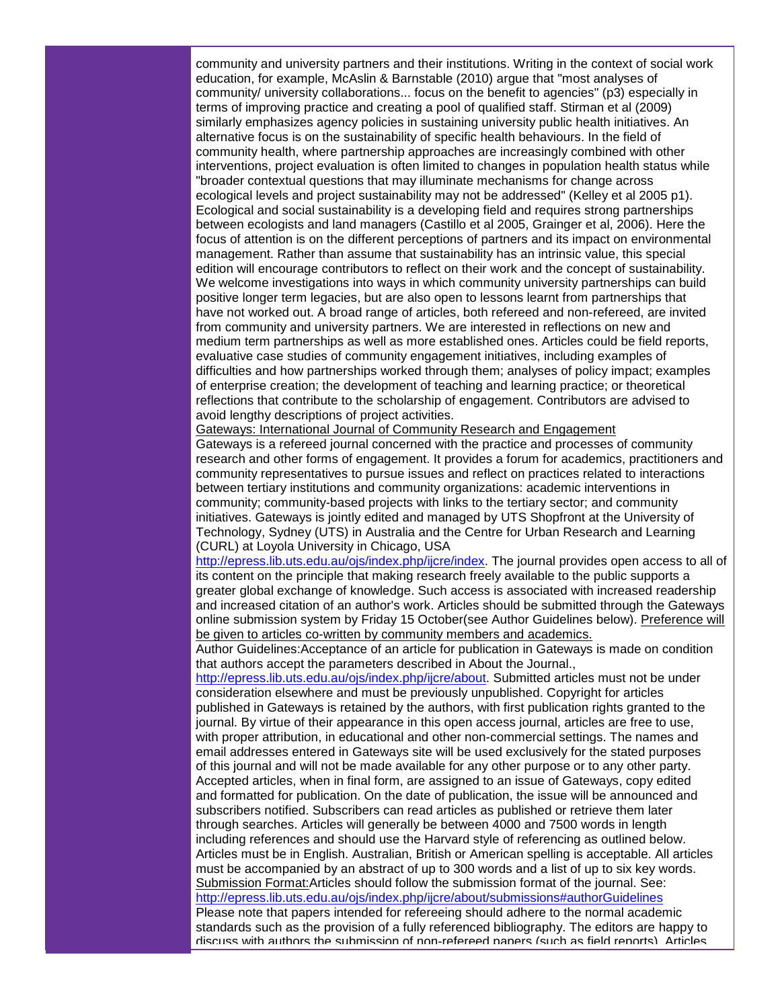community and university partners and their institutions. Writing in the context of social work education, for example, McAslin & Barnstable (2010) argue that "most analyses of community/ university collaborations... focus on the benefit to agencies" (p3) especially in terms of improving practice and creating a pool of qualified staff. Stirman et al (2009) similarly emphasizes agency policies in sustaining university public health initiatives. An alternative focus is on the sustainability of specific health behaviours. In the field of community health, where partnership approaches are increasingly combined with other interventions, project evaluation is often limited to changes in population health status while "broader contextual questions that may illuminate mechanisms for change across ecological levels and project sustainability may not be addressed" (Kelley et al 2005 p1). Ecological and social sustainability is a developing field and requires strong partnerships between ecologists and land managers (Castillo et al 2005, Grainger et al, 2006). Here the focus of attention is on the different perceptions of partners and its impact on environmental management. Rather than assume that sustainability has an intrinsic value, this special edition will encourage contributors to reflect on their work and the concept of sustainability. We welcome investigations into ways in which community university partnerships can build positive longer term legacies, but are also open to lessons learnt from partnerships that have not worked out. A broad range of articles, both refereed and non-refereed, are invited from community and university partners. We are interested in reflections on new and medium term partnerships as well as more established ones. Articles could be field reports, evaluative case studies of community engagement initiatives, including examples of difficulties and how partnerships worked through them; analyses of policy impact; examples of enterprise creation; the development of teaching and learning practice; or theoretical reflections that contribute to the scholarship of engagement. Contributors are advised to avoid lengthy descriptions of project activities.

Gateways: International Journal of Community Research and Engagement Gateways is a refereed journal concerned with the practice and processes of community research and other forms of engagement. It provides a forum for academics, practitioners and community representatives to pursue issues and reflect on practices related to interactions between tertiary institutions and community organizations: academic interventions in community; community-based projects with links to the tertiary sector; and community initiatives. Gateways is jointly edited and managed by UTS Shopfront at the University of Technology, Sydney (UTS) in Australia and the Centre for Urban Research and Learning (CURL) at Loyola University in Chicago, USA

[http://epress.lib.uts.edu.au/ojs/index.php/ijcre/index.](http://r20.rs6.net/tn.jsp?et=1103599633351&s=1&e=001DnY4abxwoKKqb6oZ3Gatfy1VGarTKV9trtAmqrDvfSVLykLyK83VyVs-AznWKw0wGJAf2RSfcllo3L0akh6WU5gTwxEFwqCA_BgGoyGlRNhv6gbKBkMSK7Jv08zXQFfV391pnPr1HxrRFAtk2GJbokG-tVMdo7pw) The journal provides open access to all of its content on the principle that making research freely available to the public supports a greater global exchange of knowledge. Such access is associated with increased readership and increased citation of an author's work. Articles should be submitted through the Gateways online submission system by Friday 15 October(see Author Guidelines below). Preference will be given to articles co-written by community members and academics.

Author Guidelines:Acceptance of an article for publication in Gateways is made on condition that authors accept the parameters described in About the Journal.,

[http://epress.lib.uts.edu.au/ojs/index.php/ijcre/about.](http://r20.rs6.net/tn.jsp?et=1103599633351&s=1&e=001DnY4abxwoKJBXLQ-AAOaJfEfDMJfxOGmPmK_isoVGGB66cpJfCZUB0XZkwLTzffC5QQ-B1AALj80Kr1-NOY8BxELYMt44DaYT68nwpEfRAi7bahCVaPJ6pbcj1eeMCiAYFQVGiF5TyZndgqqBZRug-03b59IunYJ) Submitted articles must not be under consideration elsewhere and must be previously unpublished. Copyright for articles published in Gateways is retained by the authors, with first publication rights granted to the journal. By virtue of their appearance in this open access journal, articles are free to use, with proper attribution, in educational and other non-commercial settings. The names and email addresses entered in Gateways site will be used exclusively for the stated purposes of this journal and will not be made available for any other purpose or to any other party. Accepted articles, when in final form, are assigned to an issue of Gateways, copy edited and formatted for publication. On the date of publication, the issue will be announced and subscribers notified. Subscribers can read articles as published or retrieve them later through searches. Articles will generally be between 4000 and 7500 words in length including references and should use the Harvard style of referencing as outlined below. Articles must be in English. Australian, British or American spelling is acceptable. All articles must be accompanied by an abstract of up to 300 words and a list of up to six key words. Submission Format:Articles should follow the submission format of the journal. See: [http://epress.lib.uts.edu.au/ojs/index.php/ijcre/about/submissions#authorGuidelines](http://r20.rs6.net/tn.jsp?et=1103599633351&s=1&e=001DnY4abxwoKJ-EDk92urJZaKCXW_vORXy7oo2PGAHP6Wf4vACrPpJM9_XM3yZMeT0YTBxq-rNKJxBBn5_jUowHDKDyw0nHAzFZZeI-yGmckUUmSsks_NyEqSskbpEqM6BvPUnXO9q1fCV-3kP27ptZhYfdRk7pLJSJflfhvKunWKFKv1BEwgm0mda55aQmjeWr5UaegPOk7A=)

Please note that papers intended for refereeing should adhere to the normal academic standards such as the provision of a fully referenced bibliography. The editors are happy to discuss with authors the submission of non-refereed papers (such as field reports). Articles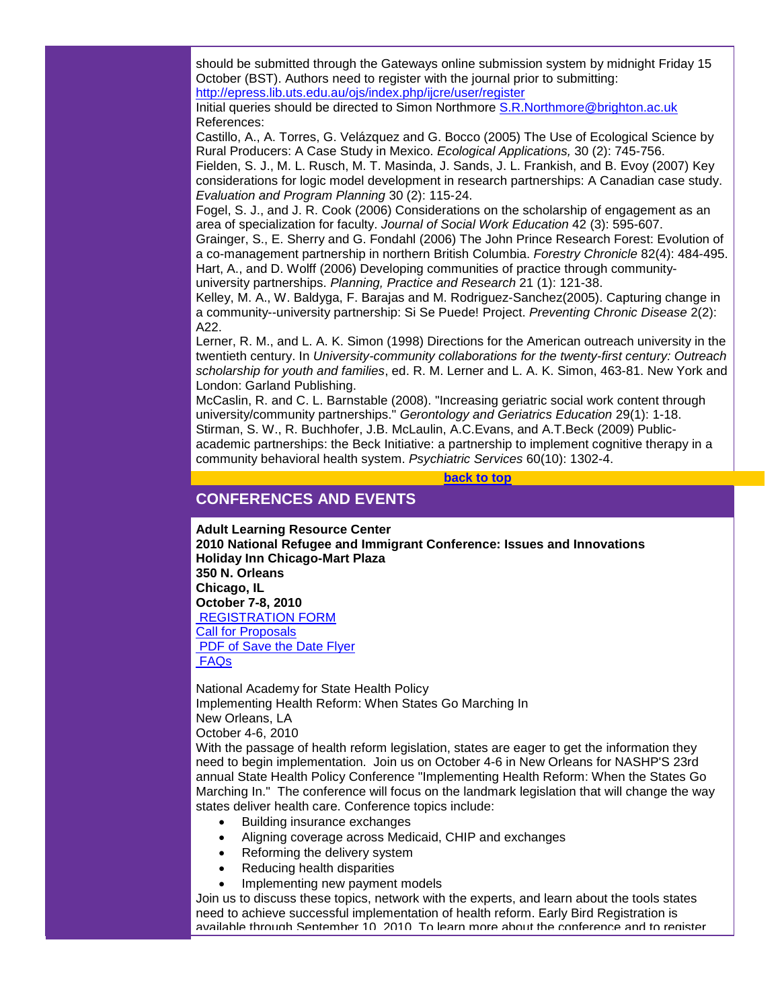should be submitted through the Gateways online submission system by midnight Friday 15 October (BST). Authors need to register with the journal prior to submitting: [http://epress.lib.uts.edu.au/ojs/index.php/ijcre/user/register](http://r20.rs6.net/tn.jsp?et=1103599633351&s=1&e=001DnY4abxwoKJx1r2aoRQmIuyFvZ00PQoElsKd0wTYnhG6FYojLsf2IUcZlJzKkIqshz2oGcbkB9KEiK6bcO5LFLBkquhflhGVTpBAhu5X8Y6_i0uI1coaAo5EI1xv3jcYah-jFgxordPeoD5aBpktCCPJl-if3JBWmz58MfBQhww=)

Initial queries should be directed to Simon Northmore [S.R.Northmore@brighton.ac.uk](mailto:S.R.Northmore@brighton.ac.uk) References:

Castillo, A., A. Torres, G. Velázquez and G. Bocco (2005) The Use of Ecological Science by Rural Producers: A Case Study in Mexico. *Ecological Applications,* 30 (2): 745-756.

Fielden, S. J., M. L. Rusch, M. T. Masinda, J. Sands, J. L. Frankish, and B. Evoy (2007) Key considerations for logic model development in research partnerships: A Canadian case study. *Evaluation and Program Planning* 30 (2): 115-24.

Fogel, S. J., and J. R. Cook (2006) Considerations on the scholarship of engagement as an area of specialization for faculty. *Journal of Social Work Education* 42 (3): 595-607.

Grainger, S., E. Sherry and G. Fondahl (2006) The John Prince Research Forest: Evolution of a co-management partnership in northern British Columbia. *Forestry Chronicle* 82(4): 484-495. Hart, A., and D. Wolff (2006) Developing communities of practice through communityuniversity partnerships. *Planning, Practice and Research* 21 (1): 121-38.

Kelley, M. A., W. Baldyga, F. Barajas and M. Rodriguez-Sanchez(2005). Capturing change in a community--university partnership: Si Se Puede! Project. *Preventing Chronic Disease* 2(2): A22.

Lerner, R. M., and L. A. K. Simon (1998) Directions for the American outreach university in the twentieth century. In *University-community collaborations for the twenty-first century: Outreach scholarship for youth and families*, ed. R. M. Lerner and L. A. K. Simon, 463-81. New York and London: Garland Publishing.

McCaslin, R. and C. L. Barnstable (2008). "Increasing geriatric social work content through university/community partnerships." *Gerontology and Geriatrics Education* 29(1): 1-18. Stirman, S. W., R. Buchhofer, J.B. McLaulin, A.C.Evans, and A.T.Beck (2009) Publicacademic partnerships: the Beck Initiative: a partnership to implement cognitive therapy in a community behavioral health system. *Psychiatric Services* 60(10): 1302-4.

**[back to top](#page-0-2)**

# <span id="page-17-0"></span>**CONFERENCES AND EVENTS**

**Adult Learning Resource Center**

**2010 National Refugee and Immigrant Conference: Issues and Innovations Holiday Inn Chicago-Mart Plaza 350 N. Orleans Chicago, IL October 7-8, 2010** [REGISTRATION FORM](http://r20.rs6.net/tn.jsp?et=1103599633351&s=1&e=001DnY4abxwoKLPO9k7x0o4vWy3fQSnSsDZWlLskn0yIhnUi44mFFYaEE4Bvab5gcdxpYbiXrG1eBS9zIvlZiAycAvDwY8kH7sHn9b2koQADTVE2wZm3mXYQfxms4w1bC1a6Vpff3IZaMXWqGapNX3TU12GalE3-w_jYnIKrQBLvcU=) Call for Proposals [PDF of Save the Date Flyer](http://r20.rs6.net/tn.jsp?et=1103599633351&s=1&e=001DnY4abxwoKIUFeVtIPpRel3bgz04YgiOA3HSnebuHtHEkrzG9RjXuX3AKVpjcS_O9L1mmryR9oiD10qRkrJbQkCTa_43F0uGxP2F4eSoigLVj-bT0SJtGyA-5-P79VczPnk8ny4zrzKyxkmjpiGpmgOsnvSIwBwt) [FAQs](http://r20.rs6.net/tn.jsp?et=1103599633351&s=1&e=001DnY4abxwoKIUFeVtIPpRel3bgz04YgiOA3HSnebuHtHEkrzG9RjXuX3AKVpjcS_O9L1mmryR9oiD10qRkrJbQkCTa_43F0uGxP2F4eSoigLVj-bT0SJtGyA-5-P79VczPnk8ny4zrzKyxkmjpiGpmgOsnvSIwBwt)

National Academy for State Health Policy Implementing Health Reform: When States Go Marching In New Orleans, LA October 4-6, 2010

With the passage of health reform legislation, states are eager to get the information they need to begin implementation. Join us on October 4-6 in New Orleans for NASHP'S 23rd annual State Health Policy Conference "Implementing Health Reform: When the States Go Marching In." The conference will focus on the landmark legislation that will change the way states deliver health care. Conference topics include:

- Building insurance exchanges
- Aligning coverage across Medicaid, CHIP and exchanges
- Reforming the delivery system
- Reducing health disparities
- Implementing new payment models

Join us to discuss these topics, network with the experts, and learn about the tools states need to achieve successful implementation of health reform. Early Bird Registration is available through September 10, 2010. To learn more about the conference and to register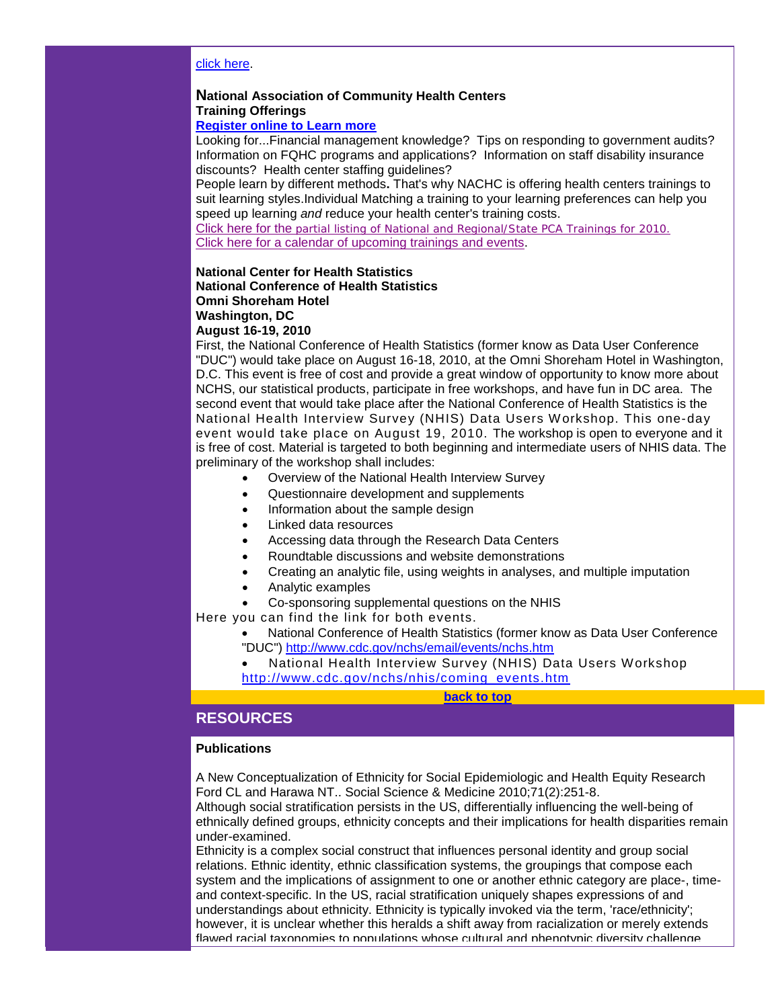#### [click here.](http://r20.rs6.net/tn.jsp?et=1103599633351&s=1&e=001DnY4abxwoKIgrz_Y6p3rafU3OIwbkeeKWNnAvRgooKQErXMAWavRimU_P3CxpL3g5b20lldv5UokAy6FRc1Q1tz7z2CESWKmEVm1TZKbbnkwPLjsLr73iLL6rzjUMCnaX11kMJfZsU8-rmjQmBYIzro5F5EmZYUHe7HMN8IW1HyDHy86f1Hp5zFWILlKW4c-Gk-yh1zaWlF4xI2W5OTRgl1eQzM-kC-3YdeEBBOPKzXwtcEPNC5yhkn33i9dPlFQlnL94ZEGu6ZHH9DOfLddcEnmik-NB24xTZGXv7Ng91fim1dXlTqhnNNq1BFBInFETb8qof3N5qU=)

#### **National Association of Community Health Centers Training Offerings**

## **[Register online to Learn more](http://r20.rs6.net/tn.jsp?et=1103599633351&s=1&e=001DnY4abxwoKLNEcPo06NhVzj3AGJjYafCRe8pUaGzZz9s7Dlq8rsAEdhDYqwGwKFhu319AohKXnW7aH-4DxEiHrpk_bbWkmXyjrpM6MSfYGrF1bIobZYdaxDjDkmJferXIZs-88HOoNspjbj3vAYV7YPVCH61oiCgcv68r8dsU2B-kTVDmqC4RKRIHO5OmrOg0j8zEQ7SFIDSzhPahXM0wNu9FJKagV8_f-MmkRcs96aSOi6hKmpBV850lESEObrgNsr08Hp1SDs=)**

Looking for...Financial management knowledge? Tips on responding to government audits? Information on FQHC programs and applications? Information on staff disability insurance discounts? Health center staffing guidelines?

People learn by different methods**.** That's why NACHC is offering health centers trainings to suit learning styles.Individual Matching a training to your learning preferences can help you speed up learning *and* reduce your health center's training costs.

Click here for the partial listing of [National and Regional/State PCA Trainings for 2010.](http://r20.rs6.net/tn.jsp?et=1103599633351&s=1&e=001DnY4abxwoKK9SDkMwKTGKs43B5OGllRc8ften6bAD69gKuO-YIdzUkwnbONvl4YkZzQT8lY6raEln-SktgDUIpKPkAjaC-XozJjmIgrl82JFcOmVOBlqJx4BV_xQrrGjpDmfCY_6INt-4JxGcuVRv1tnTfIBuo4owdsyGQRoGykxoXyM7N74WIB-06cZU9CZzM5GUjNeRArB_2t2CvXk7w==) [Click here for a calendar of upcoming trainings and events.](http://r20.rs6.net/tn.jsp?et=1103599633351&s=1&e=001DnY4abxwoKKo3LFWOabkHXG_1m9Yi91N937xUy1-7lWnOgFrY2xfxH7_6fL-Gb6pp7hmW0IclA7MY9492f7pQIsU5BCYfGhfX-8KplEGq16UkE0zy3sNNlfFwrj_xDRISJs24SzmA3FXe8AUS0fPhggzYxUGovXLkfVIsWtxoSI9Inbd4POSCQ==)

#### **National Center for Health Statistics National Conference of Health Statistics Omni Shoreham Hotel Washington, DC**

**August 16-19, 2010**

First, the National Conference of Health Statistics (former know as Data User Conference "DUC") would take place on August 16-18, 2010, at the Omni Shoreham Hotel in Washington, D.C. This event is free of cost and provide a great window of opportunity to know more about NCHS, our statistical products, participate in free workshops, and have fun in DC area. The second event that would take place after the National Conference of Health Statistics is the National Health Interview Survey (NHIS) Data Users Workshop. This one-day event would take place on August 19, 2010. The workshop is open to everyone and it is free of cost. Material is targeted to both beginning and intermediate users of NHIS data. The preliminary of the workshop shall includes:

- Overview of the National Health Interview Survey
- Questionnaire development and supplements
- Information about the sample design
- Linked data resources
- Accessing data through the Research Data Centers
- Roundtable discussions and website demonstrations
- Creating an analytic file, using weights in analyses, and multiple imputation
- Analytic examples
- Co-sponsoring supplemental questions on the NHIS

Here you can find the link for both events.

• National Conference of Health Statistics (former know as Data User Conference "DUC") [http://www.cdc.gov/nchs/email/events/nchs.htm](http://r20.rs6.net/tn.jsp?et=1103599633351&s=1&e=001DnY4abxwoKISHgDDXuzLFcaYTCkcvbNHpAAYK2hrf35tun_SmupD5yT44nCpl0mswu7Z9KTfVHFfSvQvSuoF2OBM4fgiMw6ExcWZ2THIlqY3x-NYDw8M1N5zgxtbOfe-bnqROd9PmqP5ZCjTztX7nw==)

• National Health Interview Survey (NHIS) Data Users Workshop [http://www.cdc.gov/nchs/nhis/coming\\_events.htm](http://r20.rs6.net/tn.jsp?et=1103599633351&s=1&e=001DnY4abxwoKKFdUkqttvtvIxaYSx0pwqSidIx-qOat8mQ2ovrLbgeYIgJUqU-jLFOBZmZJL8t9-1SheB9X3NkRdoaNA8509klUFZ2ByVBySgEelbAvEmvXzgeIaSZERyh_HOTU0fGDHDzVaVwJzmL9Q==)

**[back to top](#page-0-2)**

#### <span id="page-18-0"></span>**RESOURCES**

#### **Publications**

A New Conceptualization of Ethnicity for Social Epidemiologic and Health Equity Research Ford CL and Harawa NT.. Social Science & Medicine 2010;71(2):251-8. Although social stratification persists in the US, differentially influencing the well-being of ethnically defined groups, ethnicity concepts and their implications for health disparities remain under-examined.

Ethnicity is a complex social construct that influences personal identity and group social relations. Ethnic identity, ethnic classification systems, the groupings that compose each system and the implications of assignment to one or another ethnic category are place-, timeand context-specific. In the US, racial stratification uniquely shapes expressions of and understandings about ethnicity. Ethnicity is typically invoked via the term, 'race/ethnicity'; however, it is unclear whether this heralds a shift away from racialization or merely extends flawed racial taxonomies to populations whose cultural and phenotypic diversity challenge